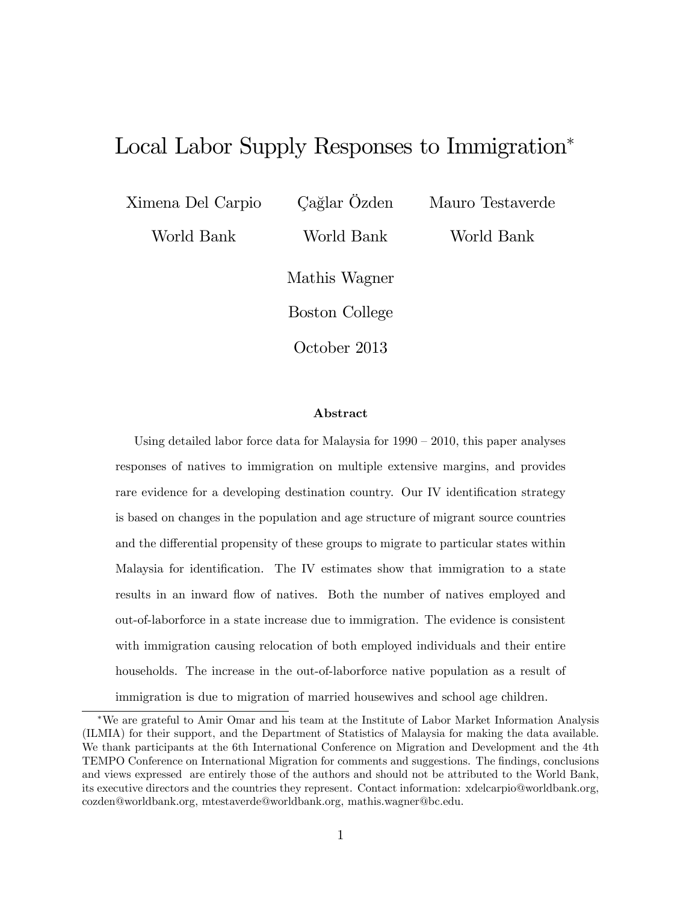# Local Labor Supply Responses to Immigration

Ximena Del Carpio

Cağlar Özden

Mauro Testaverde

World Bank

World Bank

World Bank

Mathis Wagner

Boston College

October 2013

#### Abstract

Using detailed labor force data for Malaysia for  $1990 - 2010$ , this paper analyses responses of natives to immigration on multiple extensive margins, and provides rare evidence for a developing destination country. Our IV identification strategy is based on changes in the population and age structure of migrant source countries and the differential propensity of these groups to migrate to particular states within Malaysia for identification. The IV estimates show that immigration to a state results in an inward flow of natives. Both the number of natives employed and out-of-laborforce in a state increase due to immigration. The evidence is consistent with immigration causing relocation of both employed individuals and their entire households. The increase in the out-of-laborforce native population as a result of immigration is due to migration of married housewives and school age children.

We are grateful to Amir Omar and his team at the Institute of Labor Market Information Analysis (ILMIA) for their support, and the Department of Statistics of Malaysia for making the data available. We thank participants at the 6th International Conference on Migration and Development and the 4th TEMPO Conference on International Migration for comments and suggestions. The Öndings, conclusions and views expressed are entirely those of the authors and should not be attributed to the World Bank, its executive directors and the countries they represent. Contact information: xdelcarpio@worldbank.org, cozden@worldbank.org, mtestaverde@worldbank.org, mathis.wagner@bc.edu.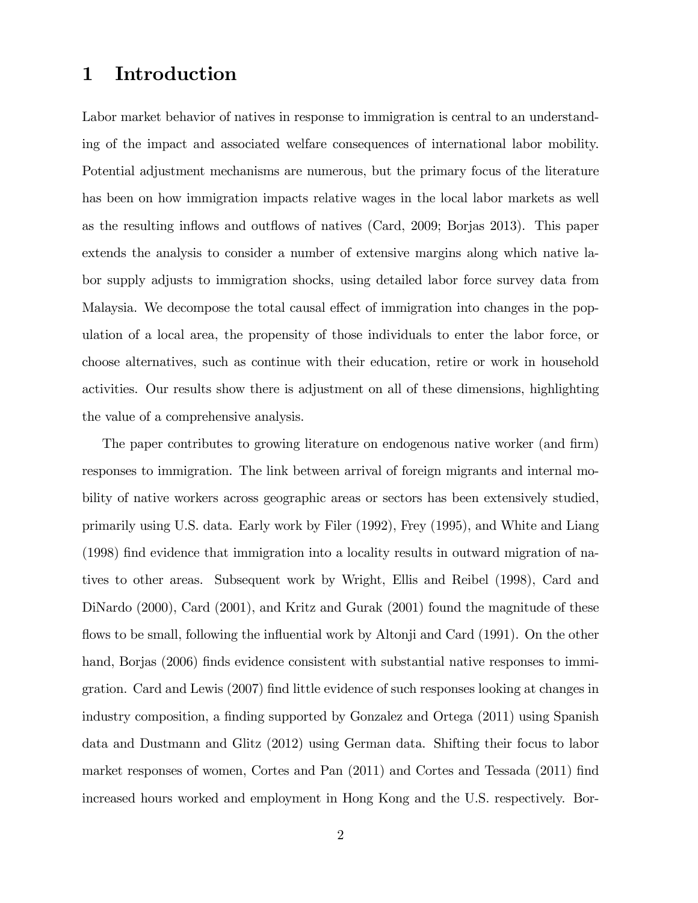### 1 Introduction

Labor market behavior of natives in response to immigration is central to an understanding of the impact and associated welfare consequences of international labor mobility. Potential adjustment mechanisms are numerous, but the primary focus of the literature has been on how immigration impacts relative wages in the local labor markets as well as the resulting inflows and outflows of natives (Card, 2009; Borjas 2013). This paper extends the analysis to consider a number of extensive margins along which native labor supply adjusts to immigration shocks, using detailed labor force survey data from Malaysia. We decompose the total causal effect of immigration into changes in the population of a local area, the propensity of those individuals to enter the labor force, or choose alternatives, such as continue with their education, retire or work in household activities. Our results show there is adjustment on all of these dimensions, highlighting the value of a comprehensive analysis.

The paper contributes to growing literature on endogenous native worker (and firm) responses to immigration. The link between arrival of foreign migrants and internal mobility of native workers across geographic areas or sectors has been extensively studied, primarily using U.S. data. Early work by Filer (1992), Frey (1995), and White and Liang (1998) Önd evidence that immigration into a locality results in outward migration of natives to other areas. Subsequent work by Wright, Ellis and Reibel (1998), Card and DiNardo (2000), Card (2001), and Kritz and Gurak (2001) found the magnitude of these flows to be small, following the influential work by Altonji and Card (1991). On the other hand, Borjas (2006) finds evidence consistent with substantial native responses to immigration. Card and Lewis (2007) Önd little evidence of such responses looking at changes in industry composition, a finding supported by Gonzalez and Ortega (2011) using Spanish data and Dustmann and Glitz (2012) using German data. Shifting their focus to labor market responses of women, Cortes and Pan (2011) and Cortes and Tessada (2011) find increased hours worked and employment in Hong Kong and the U.S. respectively. Bor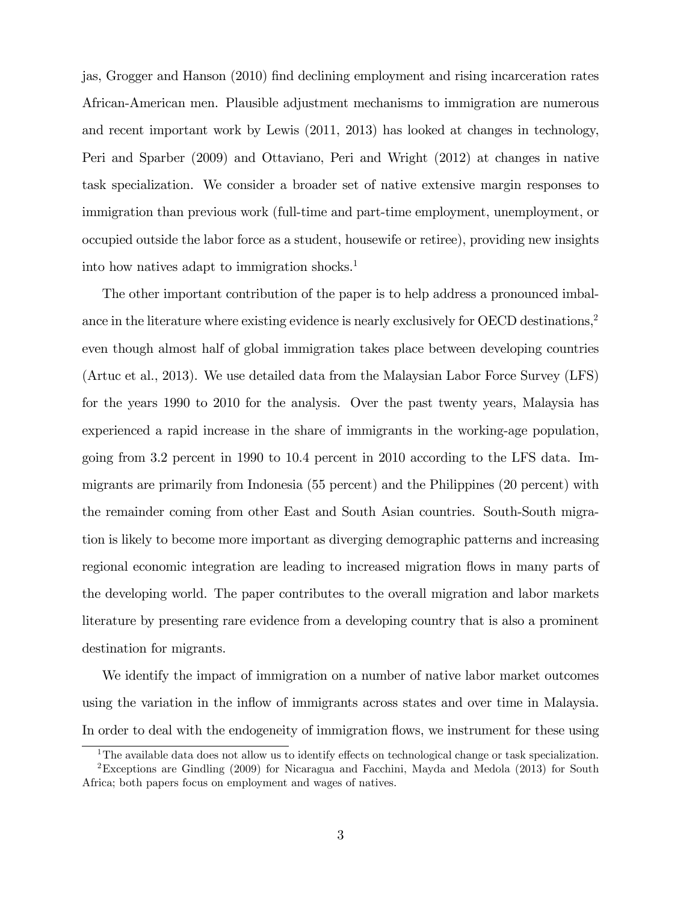jas, Grogger and Hanson (2010) Önd declining employment and rising incarceration rates African-American men. Plausible adjustment mechanisms to immigration are numerous and recent important work by Lewis (2011, 2013) has looked at changes in technology, Peri and Sparber (2009) and Ottaviano, Peri and Wright (2012) at changes in native task specialization. We consider a broader set of native extensive margin responses to immigration than previous work (full-time and part-time employment, unemployment, or occupied outside the labor force as a student, housewife or retiree), providing new insights into how natives adapt to immigration shocks.<sup>1</sup>

The other important contribution of the paper is to help address a pronounced imbalance in the literature where existing evidence is nearly exclusively for OECD destinations,<sup>2</sup> even though almost half of global immigration takes place between developing countries (Artuc et al., 2013). We use detailed data from the Malaysian Labor Force Survey (LFS) for the years 1990 to 2010 for the analysis. Over the past twenty years, Malaysia has experienced a rapid increase in the share of immigrants in the working-age population, going from 3.2 percent in 1990 to 10.4 percent in 2010 according to the LFS data. Immigrants are primarily from Indonesia (55 percent) and the Philippines (20 percent) with the remainder coming from other East and South Asian countries. South-South migration is likely to become more important as diverging demographic patterns and increasing regional economic integration are leading to increased migration flows in many parts of the developing world. The paper contributes to the overall migration and labor markets literature by presenting rare evidence from a developing country that is also a prominent destination for migrants.

We identify the impact of immigration on a number of native labor market outcomes using the variation in the inflow of immigrants across states and over time in Malaysia. In order to deal with the endogeneity of immigration flows, we instrument for these using

<sup>&</sup>lt;sup>1</sup>The available data does not allow us to identify effects on technological change or task specialization.

<sup>2</sup>Exceptions are Gindling (2009) for Nicaragua and Facchini, Mayda and Medola (2013) for South Africa; both papers focus on employment and wages of natives.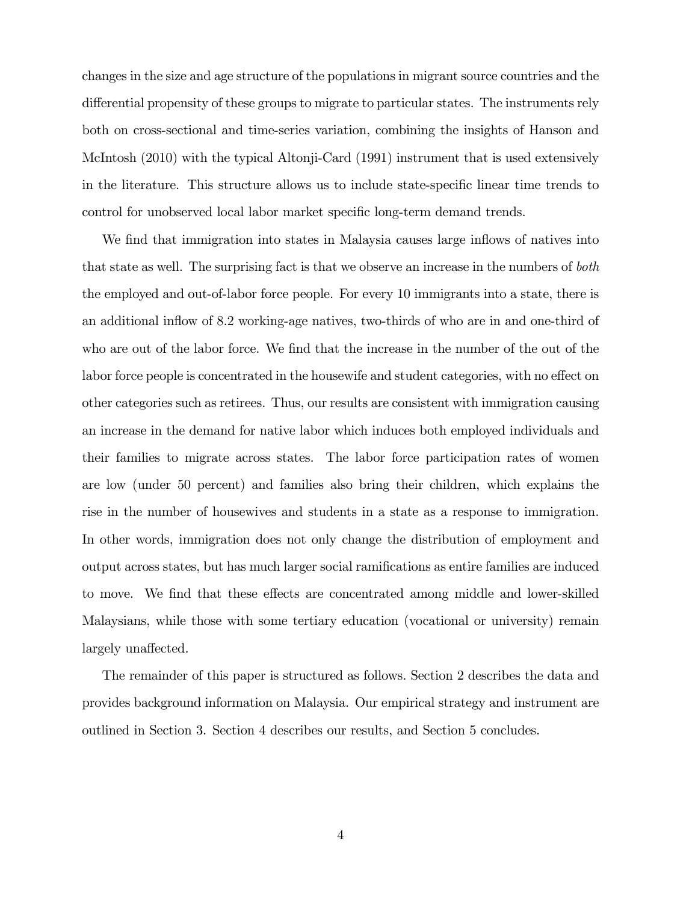changes in the size and age structure of the populations in migrant source countries and the differential propensity of these groups to migrate to particular states. The instruments rely both on cross-sectional and time-series variation, combining the insights of Hanson and McIntosh (2010) with the typical Altonji-Card (1991) instrument that is used extensively in the literature. This structure allows us to include state-specific linear time trends to control for unobserved local labor market specific long-term demand trends.

We find that immigration into states in Malaysia causes large inflows of natives into that state as well. The surprising fact is that we observe an increase in the numbers of both the employed and out-of-labor force people. For every 10 immigrants into a state, there is an additional inflow of 8.2 working-age natives, two-thirds of who are in and one-third of who are out of the labor force. We find that the increase in the number of the out of the labor force people is concentrated in the housewife and student categories, with no effect on other categories such as retirees. Thus, our results are consistent with immigration causing an increase in the demand for native labor which induces both employed individuals and their families to migrate across states. The labor force participation rates of women are low (under 50 percent) and families also bring their children, which explains the rise in the number of housewives and students in a state as a response to immigration. In other words, immigration does not only change the distribution of employment and output across states, but has much larger social ramiÖcations as entire families are induced to move. We find that these effects are concentrated among middle and lower-skilled Malaysians, while those with some tertiary education (vocational or university) remain largely unaffected.

The remainder of this paper is structured as follows. Section 2 describes the data and provides background information on Malaysia. Our empirical strategy and instrument are outlined in Section 3. Section 4 describes our results, and Section 5 concludes.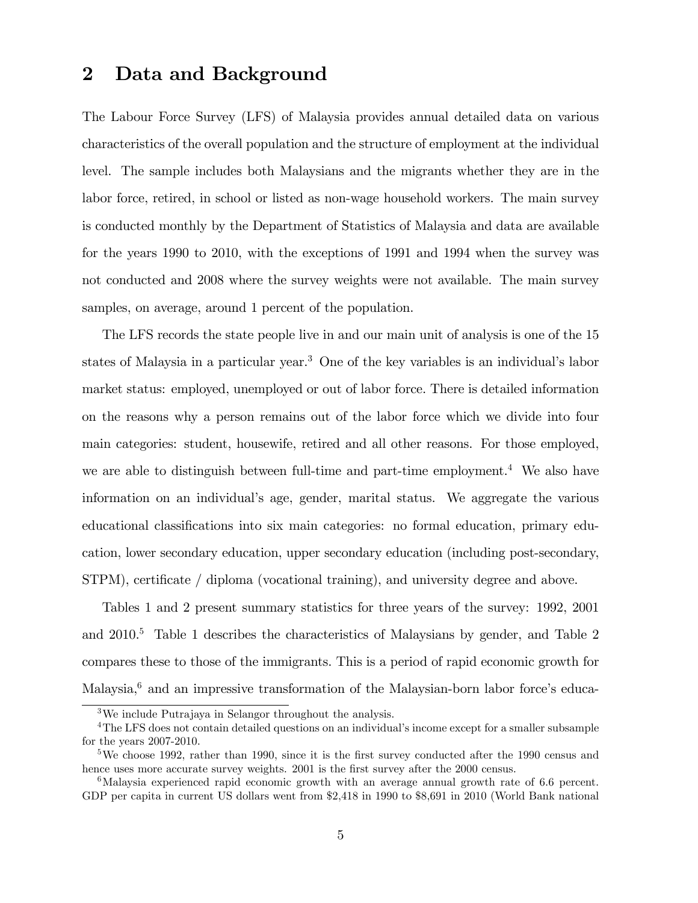### 2 Data and Background

The Labour Force Survey (LFS) of Malaysia provides annual detailed data on various characteristics of the overall population and the structure of employment at the individual level. The sample includes both Malaysians and the migrants whether they are in the labor force, retired, in school or listed as non-wage household workers. The main survey is conducted monthly by the Department of Statistics of Malaysia and data are available for the years 1990 to 2010, with the exceptions of 1991 and 1994 when the survey was not conducted and 2008 where the survey weights were not available. The main survey samples, on average, around 1 percent of the population.

The LFS records the state people live in and our main unit of analysis is one of the 15 states of Malaysia in a particular year.<sup>3</sup> One of the key variables is an individual's labor market status: employed, unemployed or out of labor force. There is detailed information on the reasons why a person remains out of the labor force which we divide into four main categories: student, housewife, retired and all other reasons. For those employed, we are able to distinguish between full-time and part-time employment.<sup>4</sup> We also have information on an individualís age, gender, marital status. We aggregate the various educational classifications into six main categories: no formal education, primary education, lower secondary education, upper secondary education (including post-secondary,  $STPM$ ), certificate / diploma (vocational training), and university degree and above.

Tables 1 and 2 present summary statistics for three years of the survey: 1992, 2001 and 2010.<sup>5</sup> Table 1 describes the characteristics of Malaysians by gender, and Table 2 compares these to those of the immigrants. This is a period of rapid economic growth for Malaysia,<sup>6</sup> and an impressive transformation of the Malaysian-born labor force's educa-

<sup>3</sup>We include Putrajaya in Selangor throughout the analysis.

<sup>&</sup>lt;sup>4</sup>The LFS does not contain detailed questions on an individual's income except for a smaller subsample for the years 2007-2010.

<sup>&</sup>lt;sup>5</sup>We choose 1992, rather than 1990, since it is the first survey conducted after the 1990 census and hence uses more accurate survey weights. 2001 is the first survey after the 2000 census.

<sup>&</sup>lt;sup>6</sup>Malaysia experienced rapid economic growth with an average annual growth rate of 6.6 percent. GDP per capita in current US dollars went from \$2,418 in 1990 to \$8,691 in 2010 (World Bank national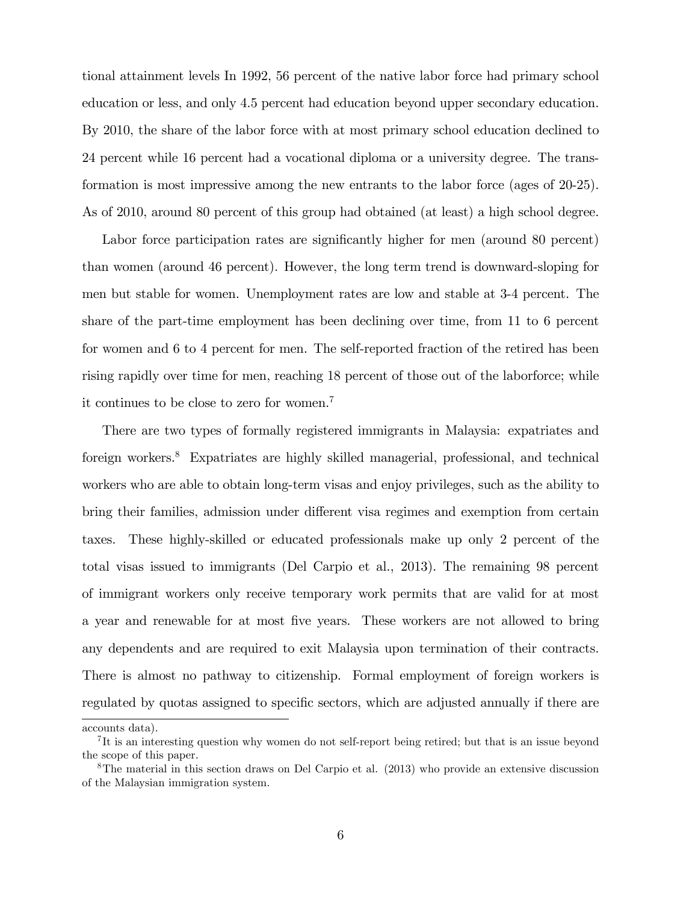tional attainment levels In 1992, 56 percent of the native labor force had primary school education or less, and only 4.5 percent had education beyond upper secondary education. By 2010, the share of the labor force with at most primary school education declined to 24 percent while 16 percent had a vocational diploma or a university degree. The transformation is most impressive among the new entrants to the labor force (ages of 20-25). As of 2010, around 80 percent of this group had obtained (at least) a high school degree.

Labor force participation rates are significantly higher for men (around 80 percent) than women (around 46 percent). However, the long term trend is downward-sloping for men but stable for women. Unemployment rates are low and stable at 3-4 percent. The share of the part-time employment has been declining over time, from 11 to 6 percent for women and 6 to 4 percent for men. The self-reported fraction of the retired has been rising rapidly over time for men, reaching 18 percent of those out of the laborforce; while it continues to be close to zero for women.<sup>7</sup>

There are two types of formally registered immigrants in Malaysia: expatriates and foreign workers.<sup>8</sup> Expatriates are highly skilled managerial, professional, and technical workers who are able to obtain long-term visas and enjoy privileges, such as the ability to bring their families, admission under different visa regimes and exemption from certain taxes. These highly-skilled or educated professionals make up only 2 percent of the total visas issued to immigrants (Del Carpio et al., 2013). The remaining 98 percent of immigrant workers only receive temporary work permits that are valid for at most a year and renewable for at most Öve years. These workers are not allowed to bring any dependents and are required to exit Malaysia upon termination of their contracts. There is almost no pathway to citizenship. Formal employment of foreign workers is regulated by quotas assigned to specific sectors, which are adjusted annually if there are

accounts data).

<sup>&</sup>lt;sup>7</sup>It is an interesting question why women do not self-report being retired; but that is an issue beyond the scope of this paper.

<sup>&</sup>lt;sup>8</sup>The material in this section draws on Del Carpio et al. (2013) who provide an extensive discussion of the Malaysian immigration system.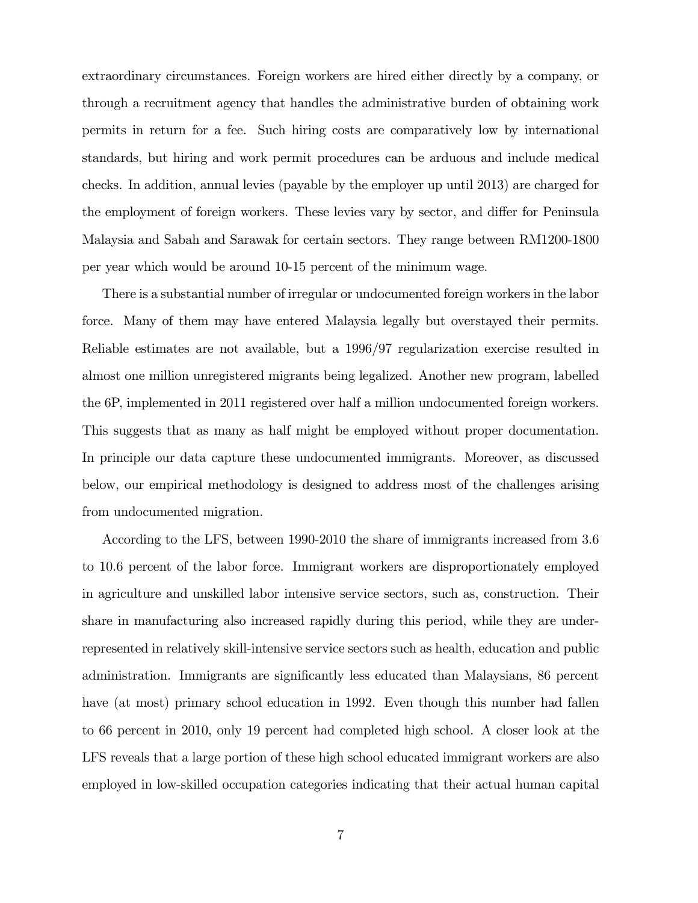extraordinary circumstances. Foreign workers are hired either directly by a company, or through a recruitment agency that handles the administrative burden of obtaining work permits in return for a fee. Such hiring costs are comparatively low by international standards, but hiring and work permit procedures can be arduous and include medical checks. In addition, annual levies (payable by the employer up until 2013) are charged for the employment of foreign workers. These levies vary by sector, and differ for Peninsula Malaysia and Sabah and Sarawak for certain sectors. They range between RM1200-1800 per year which would be around 10-15 percent of the minimum wage.

There is a substantial number of irregular or undocumented foreign workers in the labor force. Many of them may have entered Malaysia legally but overstayed their permits. Reliable estimates are not available, but a 1996/97 regularization exercise resulted in almost one million unregistered migrants being legalized. Another new program, labelled the 6P, implemented in 2011 registered over half a million undocumented foreign workers. This suggests that as many as half might be employed without proper documentation. In principle our data capture these undocumented immigrants. Moreover, as discussed below, our empirical methodology is designed to address most of the challenges arising from undocumented migration.

According to the LFS, between 1990-2010 the share of immigrants increased from 3.6 to 10.6 percent of the labor force. Immigrant workers are disproportionately employed in agriculture and unskilled labor intensive service sectors, such as, construction. Their share in manufacturing also increased rapidly during this period, while they are underrepresented in relatively skill-intensive service sectors such as health, education and public administration. Immigrants are significantly less educated than Malaysians, 86 percent have (at most) primary school education in 1992. Even though this number had fallen to 66 percent in 2010, only 19 percent had completed high school. A closer look at the LFS reveals that a large portion of these high school educated immigrant workers are also employed in low-skilled occupation categories indicating that their actual human capital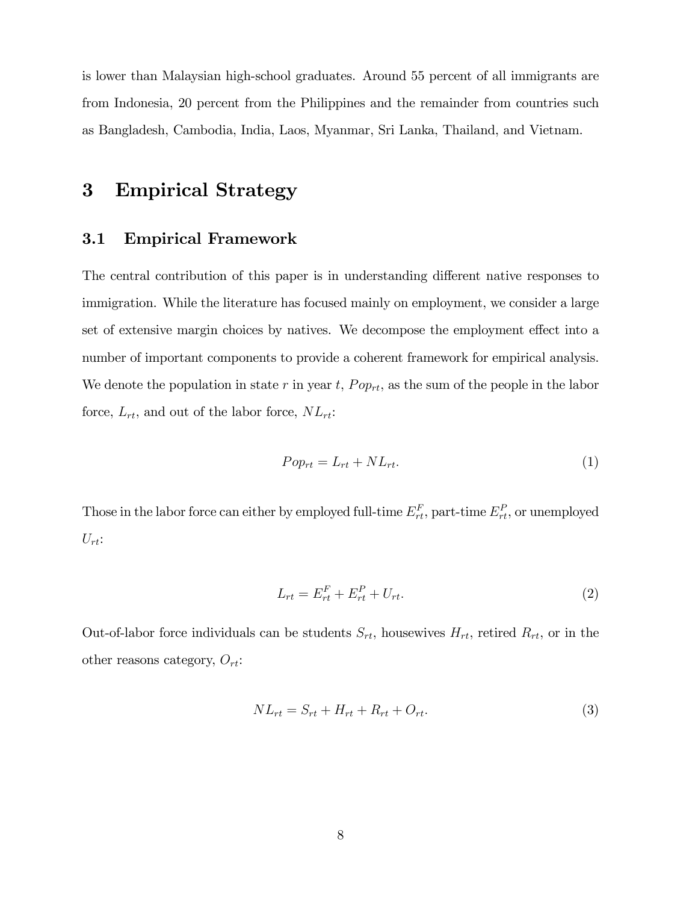is lower than Malaysian high-school graduates. Around 55 percent of all immigrants are from Indonesia, 20 percent from the Philippines and the remainder from countries such as Bangladesh, Cambodia, India, Laos, Myanmar, Sri Lanka, Thailand, and Vietnam.

# 3 Empirical Strategy

#### 3.1 Empirical Framework

The central contribution of this paper is in understanding different native responses to immigration. While the literature has focused mainly on employment, we consider a large set of extensive margin choices by natives. We decompose the employment effect into a number of important components to provide a coherent framework for empirical analysis. We denote the population in state r in year t,  $Pop_{rt}$ , as the sum of the people in the labor force,  $L_{rt}$ , and out of the labor force,  $NL_{rt}$ :

$$
Pop_{rt} = L_{rt} + NL_{rt}.\tag{1}
$$

Those in the labor force can either by employed full-time  $E_{rt}^F$ , part-time  $E_{rt}^P$ , or unemployed  $U_{rt}$ :

$$
L_{rt} = E_{rt}^F + E_{rt}^P + U_{rt}.
$$
\n(2)

Out-of-labor force individuals can be students  $S_{rt}$ , housewives  $H_{rt}$ , retired  $R_{rt}$ , or in the other reasons category,  $O_{rt}$ :

$$
NL_{rt} = S_{rt} + H_{rt} + R_{rt} + O_{rt}.
$$
\n
$$
(3)
$$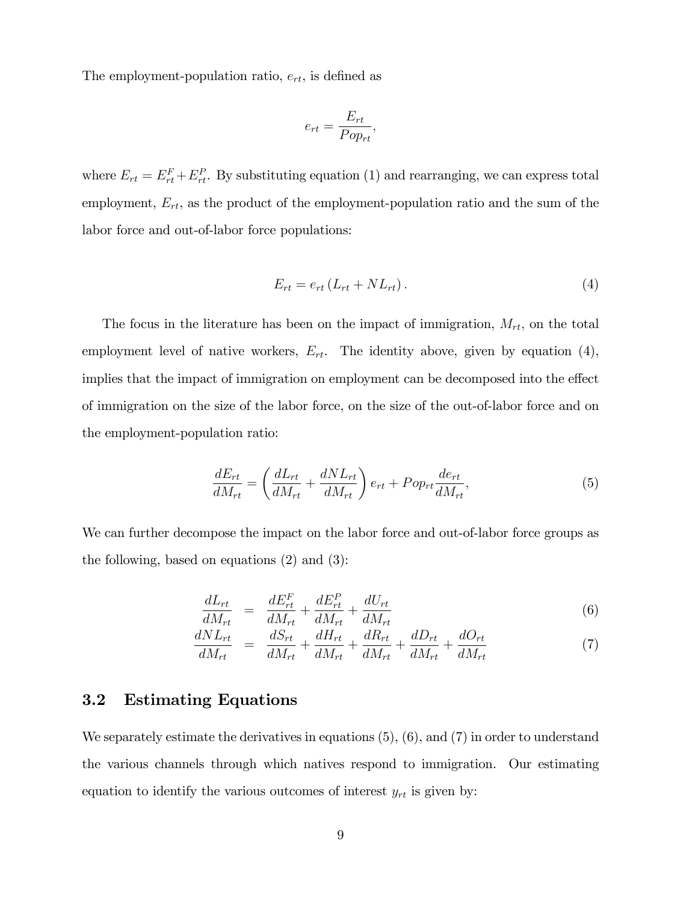The employment-population ratio,  $e_{rt}$ , is defined as

$$
e_{rt} = \frac{E_{rt}}{Pop_{rt}},
$$

where  $E_{rt} = E_{rt}^F + E_{rt}^P$ . By substituting equation (1) and rearranging, we can express total employment,  $E_{rt}$ , as the product of the employment-population ratio and the sum of the labor force and out-of-labor force populations:

$$
E_{rt} = e_{rt} \left( L_{rt} + NL_{rt} \right). \tag{4}
$$

The focus in the literature has been on the impact of immigration,  $M_{rt}$ , on the total employment level of native workers,  $E_{rt}$ . The identity above, given by equation (4), implies that the impact of immigration on employment can be decomposed into the effect of immigration on the size of the labor force, on the size of the out-of-labor force and on the employment-population ratio:

$$
\frac{dE_{rt}}{dM_{rt}} = \left(\frac{dL_{rt}}{dM_{rt}} + \frac{dNL_{rt}}{dM_{rt}}\right)e_{rt} + Pop_{rt}\frac{de_{rt}}{dM_{rt}},\tag{5}
$$

We can further decompose the impact on the labor force and out-of-labor force groups as the following, based on equations (2) and (3):

$$
\frac{dL_{rt}}{dM_{rt}} = \frac{dE_{rt}^F}{dM_{rt}} + \frac{dE_{rt}^P}{dM_{rt}} + \frac{dU_{rt}}{dM_{rt}} \tag{6}
$$

$$
\frac{dNL_{rt}}{dM_{rt}} = \frac{dS_{rt}}{dM_{rt}} + \frac{dH_{rt}}{dM_{rt}} + \frac{dR_{rt}}{dM_{rt}} + \frac{dD_{rt}}{dM_{rt}} + \frac{dO_{rt}}{dM_{rt}} \tag{7}
$$

#### 3.2 Estimating Equations

We separately estimate the derivatives in equations  $(5)$ ,  $(6)$ , and  $(7)$  in order to understand the various channels through which natives respond to immigration. Our estimating equation to identify the various outcomes of interest  $y_{rt}$  is given by: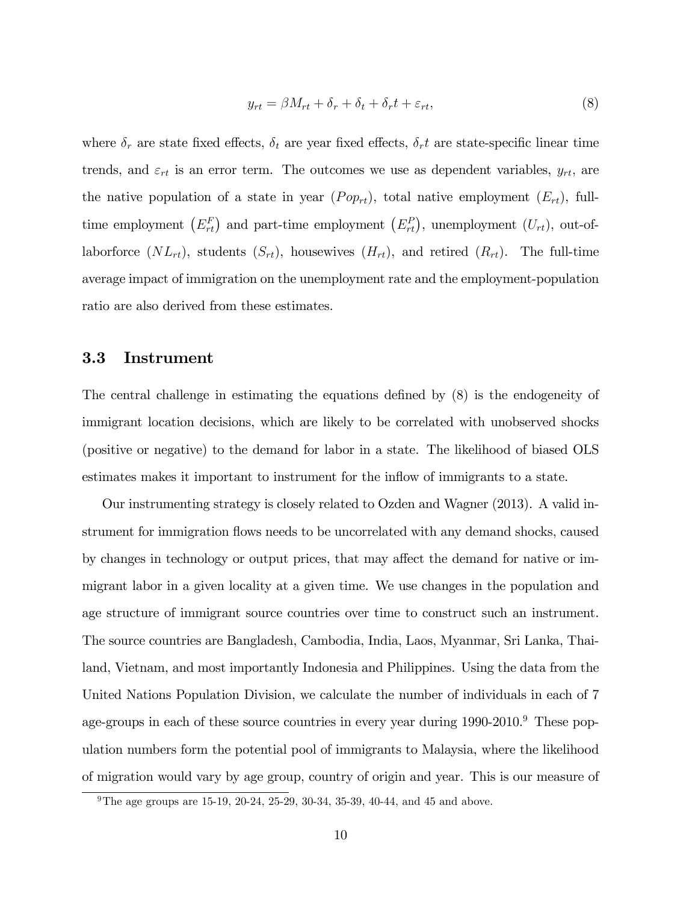$$
y_{rt} = \beta M_{rt} + \delta_r + \delta_t + \delta_r t + \varepsilon_{rt},\tag{8}
$$

where  $\delta_r$  are state fixed effects,  $\delta_t$  are year fixed effects,  $\delta_r t$  are state-specific linear time trends, and  $\varepsilon_{rt}$  is an error term. The outcomes we use as dependent variables,  $y_{rt}$ , are the native population of a state in year  $(Pop_{rt})$ , total native employment  $(E_{rt})$ , fulltime employment  $(E_{rt}^F)$  and part-time employment  $(E_{rt}^P)$ , unemployment  $(U_{rt})$ , out-oflaborforce  $(NL_{rt})$ , students  $(S_{rt})$ , housewives  $(H_{rt})$ , and retired  $(R_{rt})$ . The full-time average impact of immigration on the unemployment rate and the employment-population ratio are also derived from these estimates.

#### 3.3 Instrument

The central challenge in estimating the equations defined by  $(8)$  is the endogeneity of immigrant location decisions, which are likely to be correlated with unobserved shocks (positive or negative) to the demand for labor in a state. The likelihood of biased OLS estimates makes it important to instrument for the inflow of immigrants to a state.

Our instrumenting strategy is closely related to Ozden and Wagner (2013). A valid instrument for immigration áows needs to be uncorrelated with any demand shocks, caused by changes in technology or output prices, that may affect the demand for native or immigrant labor in a given locality at a given time. We use changes in the population and age structure of immigrant source countries over time to construct such an instrument. The source countries are Bangladesh, Cambodia, India, Laos, Myanmar, Sri Lanka, Thailand, Vietnam, and most importantly Indonesia and Philippines. Using the data from the United Nations Population Division, we calculate the number of individuals in each of 7 age-groups in each of these source countries in every year during 1990-2010.<sup>9</sup> These population numbers form the potential pool of immigrants to Malaysia, where the likelihood of migration would vary by age group, country of origin and year. This is our measure of

 $9$ The age groups are 15-19, 20-24, 25-29, 30-34, 35-39, 40-44, and 45 and above.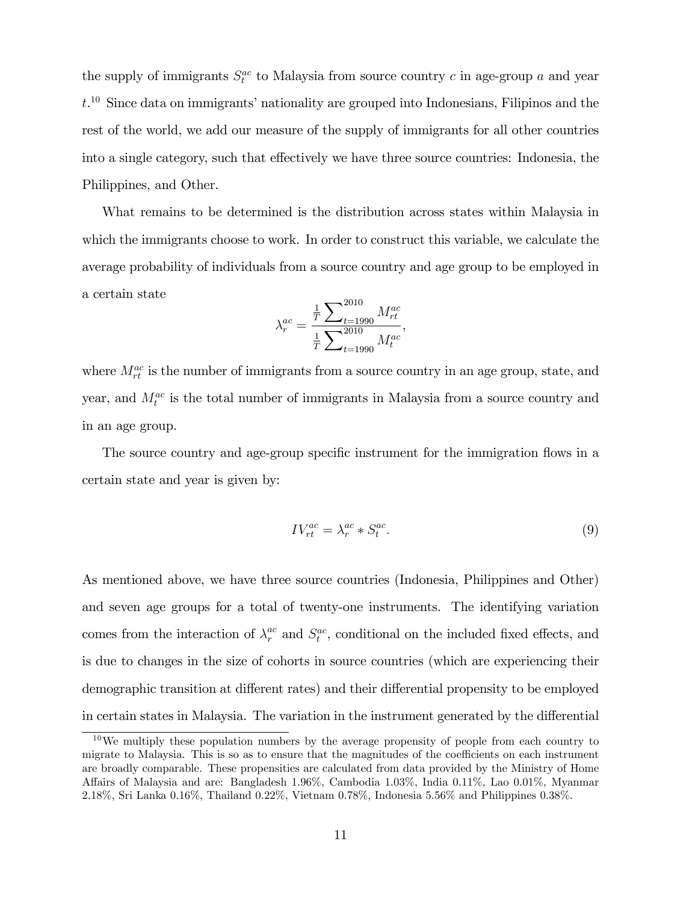the supply of immigrants  $S_t^{ac}$  to Malaysia from source country c in age-group a and year  $t<sup>10</sup>$  Since data on immigrants' nationality are grouped into Indonesians, Filipinos and the rest of the world, we add our measure of the supply of immigrants for all other countries into a single category, such that effectively we have three source countries: Indonesia, the Philippines, and Other.

What remains to be determined is the distribution across states within Malaysia in which the immigrants choose to work. In order to construct this variable, we calculate the average probability of individuals from a source country and age group to be employed in a certain state

$$
\lambda_r^{ac} = \frac{\frac{1}{T} \sum_{t=1990}^{2010} M_{rt}^{ac}}{\frac{1}{T} \sum_{t=1990}^{2010} M_t^{ac}},
$$

where  $M_{rt}^{ac}$  is the number of immigrants from a source country in an age group, state, and year, and  $M_t^{ac}$  is the total number of immigrants in Malaysia from a source country and in an age group.

The source country and age-group specific instrument for the immigration flows in a certain state and year is given by:

$$
IV_{rt}^{ac} = \lambda_r^{ac} * S_t^{ac}.
$$
\n<sup>(9)</sup>

As mentioned above, we have three source countries (Indonesia, Philippines and Other) and seven age groups for a total of twenty-one instruments. The identifying variation comes from the interaction of  $\lambda_r^{ac}$  and  $S_t^{ac}$ , conditional on the included fixed effects, and is due to changes in the size of cohorts in source countries (which are experiencing their demographic transition at different rates) and their differential propensity to be employed in certain states in Malaysia. The variation in the instrument generated by the differential

 $10$ We multiply these population numbers by the average propensity of people from each country to migrate to Malaysia. This is so as to ensure that the magnitudes of the coefficients on each instrument are broadly comparable. These propensities are calculated from data provided by the Ministry of Home Affairs of Malaysia and are: Bangladesh 1.96%, Cambodia 1.03%, India 0.11%, Lao 0.01%, Myanmar 2.18%, Sri Lanka 0.16%, Thailand 0.22%, Vietnam 0.78%, Indonesia 5.56% and Philippines 0.38%.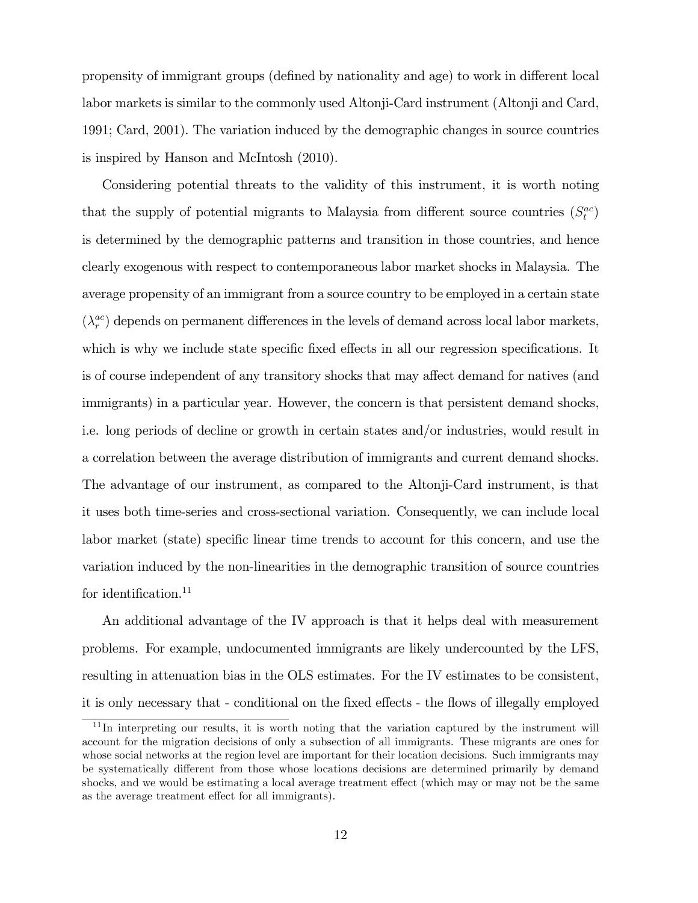propensity of immigrant groups (defined by nationality and age) to work in different local labor markets is similar to the commonly used Altonji-Card instrument (Altonji and Card, 1991; Card, 2001). The variation induced by the demographic changes in source countries is inspired by Hanson and McIntosh (2010).

Considering potential threats to the validity of this instrument, it is worth noting that the supply of potential migrants to Malaysia from different source countries  $(S_t^{ac})$ is determined by the demographic patterns and transition in those countries, and hence clearly exogenous with respect to contemporaneous labor market shocks in Malaysia. The average propensity of an immigrant from a source country to be employed in a certain state  $(\lambda_r^{ac}$  $_{r}^{ac}$ ) depends on permanent differences in the levels of demand across local labor markets, which is why we include state specific fixed effects in all our regression specifications. It is of course independent of any transitory shocks that may affect demand for natives (and immigrants) in a particular year. However, the concern is that persistent demand shocks, i.e. long periods of decline or growth in certain states and/or industries, would result in a correlation between the average distribution of immigrants and current demand shocks. The advantage of our instrument, as compared to the Altonji-Card instrument, is that it uses both time-series and cross-sectional variation. Consequently, we can include local labor market (state) specific linear time trends to account for this concern, and use the variation induced by the non-linearities in the demographic transition of source countries for identification.<sup>11</sup>

An additional advantage of the IV approach is that it helps deal with measurement problems. For example, undocumented immigrants are likely undercounted by the LFS, resulting in attenuation bias in the OLS estimates. For the IV estimates to be consistent, it is only necessary that - conditional on the fixed effects - the flows of illegally employed

<sup>&</sup>lt;sup>11</sup>In interpreting our results, it is worth noting that the variation captured by the instrument will account for the migration decisions of only a subsection of all immigrants. These migrants are ones for whose social networks at the region level are important for their location decisions. Such immigrants may be systematically different from those whose locations decisions are determined primarily by demand shocks, and we would be estimating a local average treatment effect (which may or may not be the same as the average treatment effect for all immigrants).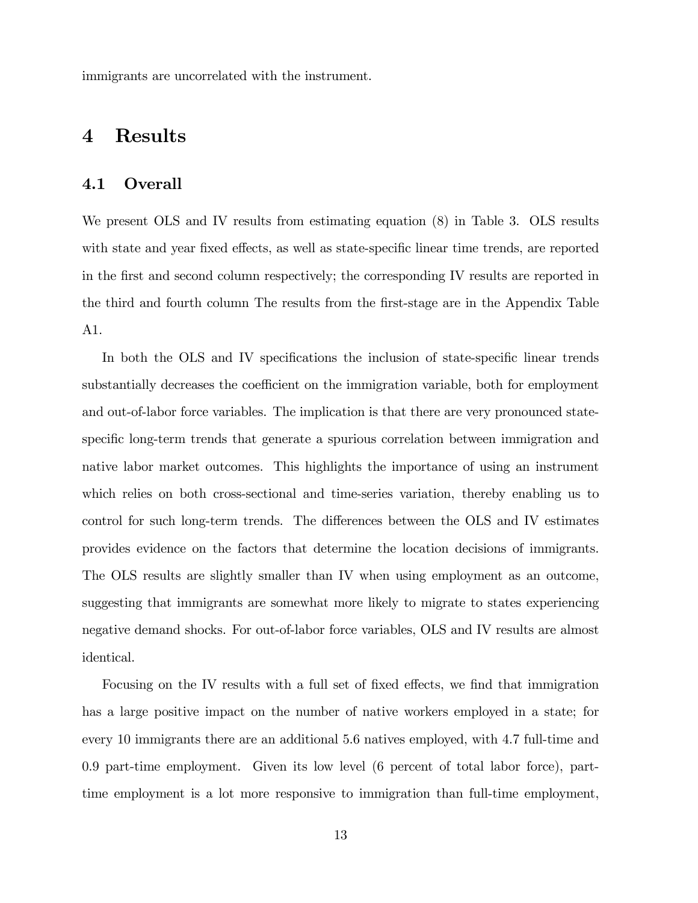immigrants are uncorrelated with the instrument.

### 4 Results

#### 4.1 Overall

We present OLS and IV results from estimating equation (8) in Table 3. OLS results with state and year fixed effects, as well as state-specific linear time trends, are reported in the first and second column respectively; the corresponding IV results are reported in the third and fourth column The results from the Örst-stage are in the Appendix Table A1.

In both the OLS and IV specifications the inclusion of state-specific linear trends substantially decreases the coefficient on the immigration variable, both for employment and out-of-labor force variables. The implication is that there are very pronounced statespecific long-term trends that generate a spurious correlation between immigration and native labor market outcomes. This highlights the importance of using an instrument which relies on both cross-sectional and time-series variation, thereby enabling us to control for such long-term trends. The differences between the OLS and IV estimates provides evidence on the factors that determine the location decisions of immigrants. The OLS results are slightly smaller than IV when using employment as an outcome, suggesting that immigrants are somewhat more likely to migrate to states experiencing negative demand shocks. For out-of-labor force variables, OLS and IV results are almost identical.

Focusing on the IV results with a full set of fixed effects, we find that immigration has a large positive impact on the number of native workers employed in a state; for every 10 immigrants there are an additional 5.6 natives employed, with 4.7 full-time and 0.9 part-time employment. Given its low level (6 percent of total labor force), parttime employment is a lot more responsive to immigration than full-time employment,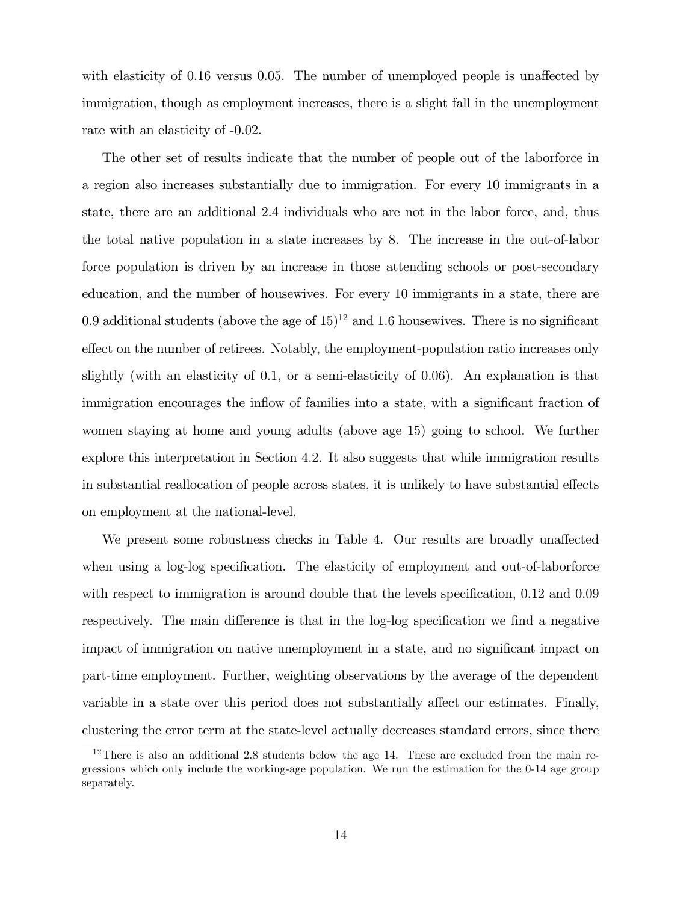with elasticity of  $0.16$  versus  $0.05$ . The number of unemployed people is unaffected by immigration, though as employment increases, there is a slight fall in the unemployment rate with an elasticity of -0.02.

The other set of results indicate that the number of people out of the laborforce in a region also increases substantially due to immigration. For every 10 immigrants in a state, there are an additional 2.4 individuals who are not in the labor force, and, thus the total native population in a state increases by 8. The increase in the out-of-labor force population is driven by an increase in those attending schools or post-secondary education, and the number of housewives. For every 10 immigrants in a state, there are 0.9 additional students (above the age of  $15$ )<sup>12</sup> and 1.6 housewives. There is no significant effect on the number of retirees. Notably, the employment-population ratio increases only slightly (with an elasticity of 0.1, or a semi-elasticity of 0.06). An explanation is that immigration encourages the inflow of families into a state, with a significant fraction of women staying at home and young adults (above age 15) going to school. We further explore this interpretation in Section 4.2. It also suggests that while immigration results in substantial reallocation of people across states, it is unlikely to have substantial effects on employment at the national-level.

We present some robustness checks in Table 4. Our results are broadly unaffected when using a log-log specification. The elasticity of employment and out-of-laborforce with respect to immigration is around double that the levels specification,  $0.12$  and  $0.09$ respectively. The main difference is that in the log-log specification we find a negative impact of immigration on native unemployment in a state, and no significant impact on part-time employment. Further, weighting observations by the average of the dependent variable in a state over this period does not substantially affect our estimates. Finally, clustering the error term at the state-level actually decreases standard errors, since there

 $12$ There is also an additional 2.8 students below the age 14. These are excluded from the main regressions which only include the working-age population. We run the estimation for the 0-14 age group separately.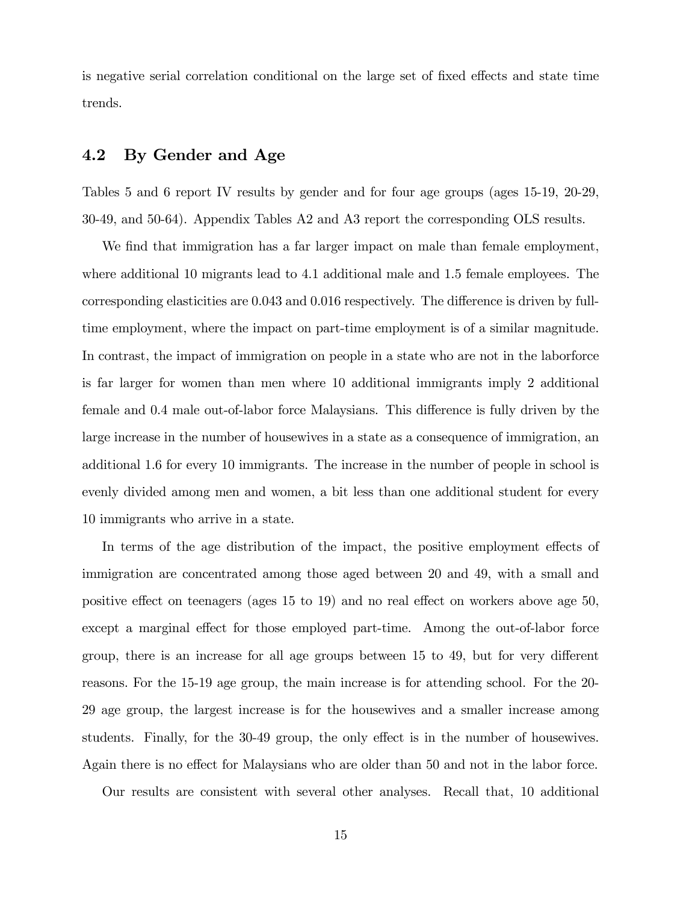is negative serial correlation conditional on the large set of fixed effects and state time trends.

#### 4.2 By Gender and Age

Tables 5 and 6 report IV results by gender and for four age groups (ages 15-19, 20-29, 30-49, and 50-64). Appendix Tables A2 and A3 report the corresponding OLS results.

We find that immigration has a far larger impact on male than female employment, where additional 10 migrants lead to 4.1 additional male and 1.5 female employees. The corresponding elasticities are  $0.043$  and  $0.016$  respectively. The difference is driven by fulltime employment, where the impact on part-time employment is of a similar magnitude. In contrast, the impact of immigration on people in a state who are not in the laborforce is far larger for women than men where 10 additional immigrants imply 2 additional female and 0.4 male out-of-labor force Malaysians. This difference is fully driven by the large increase in the number of housewives in a state as a consequence of immigration, an additional 1.6 for every 10 immigrants. The increase in the number of people in school is evenly divided among men and women, a bit less than one additional student for every 10 immigrants who arrive in a state.

In terms of the age distribution of the impact, the positive employment effects of immigration are concentrated among those aged between 20 and 49, with a small and positive effect on teenagers (ages  $15$  to  $19$ ) and no real effect on workers above age  $50$ , except a marginal effect for those employed part-time. Among the out-of-labor force group, there is an increase for all age groups between  $15$  to  $49$ , but for very different reasons. For the 15-19 age group, the main increase is for attending school. For the 20- 29 age group, the largest increase is for the housewives and a smaller increase among students. Finally, for the 30-49 group, the only effect is in the number of housewives. Again there is no effect for Malaysians who are older than 50 and not in the labor force.

Our results are consistent with several other analyses. Recall that, 10 additional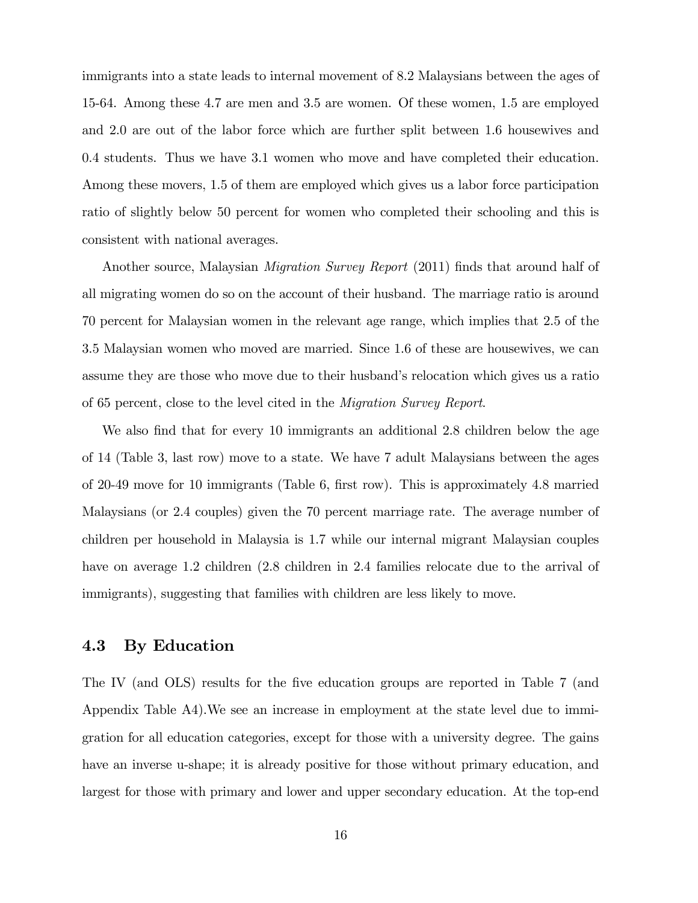immigrants into a state leads to internal movement of 8.2 Malaysians between the ages of 15-64. Among these 4.7 are men and 3.5 are women. Of these women, 1.5 are employed and 2.0 are out of the labor force which are further split between 1.6 housewives and 0.4 students. Thus we have 3.1 women who move and have completed their education. Among these movers, 1.5 of them are employed which gives us a labor force participation ratio of slightly below 50 percent for women who completed their schooling and this is consistent with national averages.

Another source, Malaysian *Migration Survey Report* (2011) finds that around half of all migrating women do so on the account of their husband. The marriage ratio is around 70 percent for Malaysian women in the relevant age range, which implies that 2.5 of the 3.5 Malaysian women who moved are married. Since 1.6 of these are housewives, we can assume they are those who move due to their husband's relocation which gives us a ratio of 65 percent, close to the level cited in the Migration Survey Report.

We also find that for every 10 immigrants an additional 2.8 children below the age of 14 (Table 3, last row) move to a state. We have 7 adult Malaysians between the ages of 20-49 move for 10 immigrants (Table 6, Örst row). This is approximately 4.8 married Malaysians (or 2.4 couples) given the 70 percent marriage rate. The average number of children per household in Malaysia is 1.7 while our internal migrant Malaysian couples have on average 1.2 children (2.8 children in 2.4 families relocate due to the arrival of immigrants), suggesting that families with children are less likely to move.

#### 4.3 By Education

The IV (and OLS) results for the five education groups are reported in Table 7 (and Appendix Table A4).We see an increase in employment at the state level due to immigration for all education categories, except for those with a university degree. The gains have an inverse u-shape; it is already positive for those without primary education, and largest for those with primary and lower and upper secondary education. At the top-end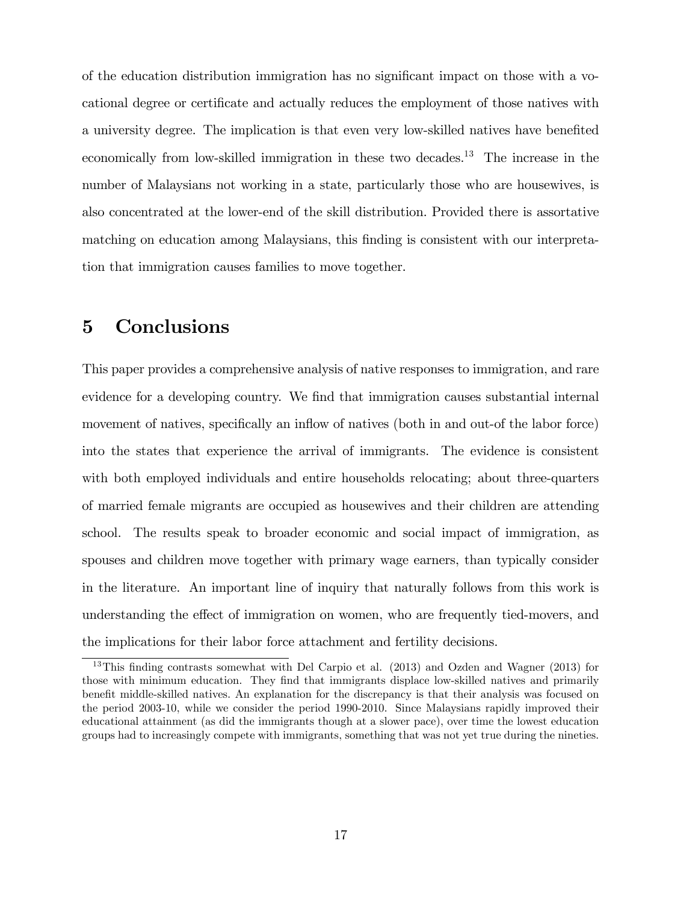of the education distribution immigration has no significant impact on those with a vocational degree or certificate and actually reduces the employment of those natives with a university degree. The implication is that even very low-skilled natives have benefited economically from low-skilled immigration in these two decades.<sup>13</sup> The increase in the number of Malaysians not working in a state, particularly those who are housewives, is also concentrated at the lower-end of the skill distribution. Provided there is assortative matching on education among Malaysians, this finding is consistent with our interpretation that immigration causes families to move together.

# 5 Conclusions

This paper provides a comprehensive analysis of native responses to immigration, and rare evidence for a developing country. We find that immigration causes substantial internal movement of natives, specifically an inflow of natives (both in and out-of the labor force) into the states that experience the arrival of immigrants. The evidence is consistent with both employed individuals and entire households relocating; about three-quarters of married female migrants are occupied as housewives and their children are attending school. The results speak to broader economic and social impact of immigration, as spouses and children move together with primary wage earners, than typically consider in the literature. An important line of inquiry that naturally follows from this work is understanding the effect of immigration on women, who are frequently tied-movers, and the implications for their labor force attachment and fertility decisions.

<sup>&</sup>lt;sup>13</sup>This finding contrasts somewhat with Del Carpio et al.  $(2013)$  and Ozden and Wagner  $(2013)$  for those with minimum education. They find that immigrants displace low-skilled natives and primarily benefit middle-skilled natives. An explanation for the discrepancy is that their analysis was focused on the period 2003-10, while we consider the period 1990-2010. Since Malaysians rapidly improved their educational attainment (as did the immigrants though at a slower pace), over time the lowest education groups had to increasingly compete with immigrants, something that was not yet true during the nineties.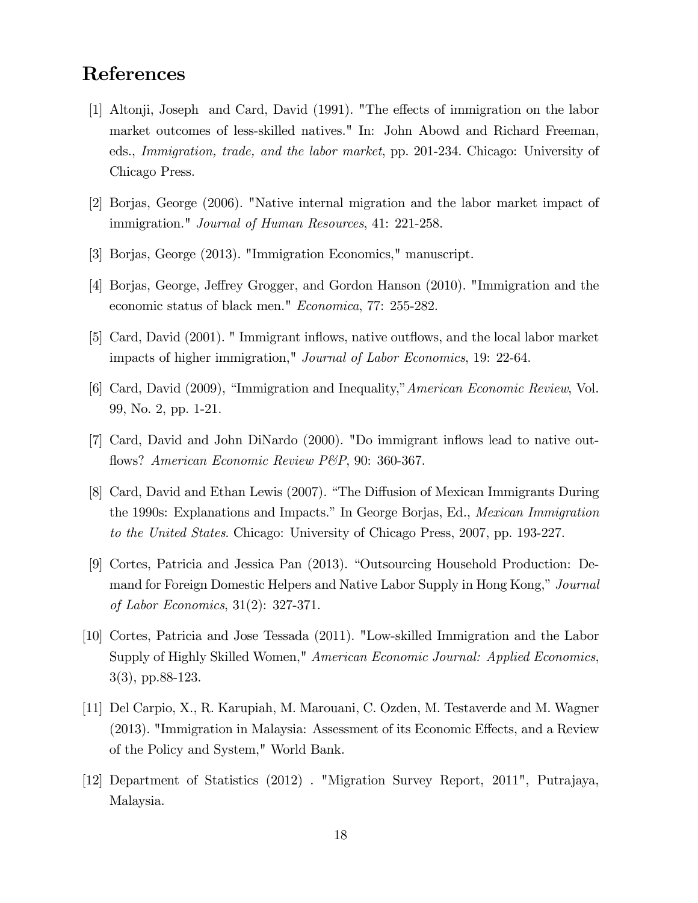# References

- [1] Altonji, Joseph and Card, David (1991). "The effects of immigration on the labor market outcomes of less-skilled natives." In: John Abowd and Richard Freeman, eds., Immigration, trade, and the labor market, pp. 201-234. Chicago: University of Chicago Press.
- [2] Borjas, George (2006). "Native internal migration and the labor market impact of immigration." Journal of Human Resources, 41: 221-258.
- [3] Borjas, George (2013). "Immigration Economics," manuscript.
- [4] Borjas, George, Jeffrey Grogger, and Gordon Hanson (2010). "Immigration and the economic status of black men." Economica, 77: 255-282.
- [5] Card, David (2001). "Immigrant inflows, native outflows, and the local labor market impacts of higher immigration," Journal of Labor Economics, 19: 22-64.
- [6] Card, David (2009), "Immigration and Inequality," American Economic Review, Vol. 99, No. 2, pp. 1-21.
- [7] Card, David and John DiNardo (2000). "Do immigrant ináows lead to native outflows? American Economic Review P&P, 90: 360-367.
- [8] Card, David and Ethan Lewis (2007). "The Diffusion of Mexican Immigrants During the 1990s: Explanations and Impacts." In George Borjas, Ed., *Mexican Immigration* to the United States. Chicago: University of Chicago Press, 2007, pp. 193-227.
- [9] Cortes, Patricia and Jessica Pan (2013). "Outsourcing Household Production: Demand for Foreign Domestic Helpers and Native Labor Supply in Hong Kong," Journal of Labor Economics, 31(2): 327-371.
- [10] Cortes, Patricia and Jose Tessada (2011). "Low-skilled Immigration and the Labor Supply of Highly Skilled Women," American Economic Journal: Applied Economics, 3(3), pp.88-123.
- [11] Del Carpio, X., R. Karupiah, M. Marouani, C. Ozden, M. Testaverde and M. Wagner  $(2013)$ . "Immigration in Malaysia: Assessment of its Economic Effects, and a Review of the Policy and System," World Bank.
- [12] Department of Statistics (2012) . "Migration Survey Report, 2011", Putrajaya, Malaysia.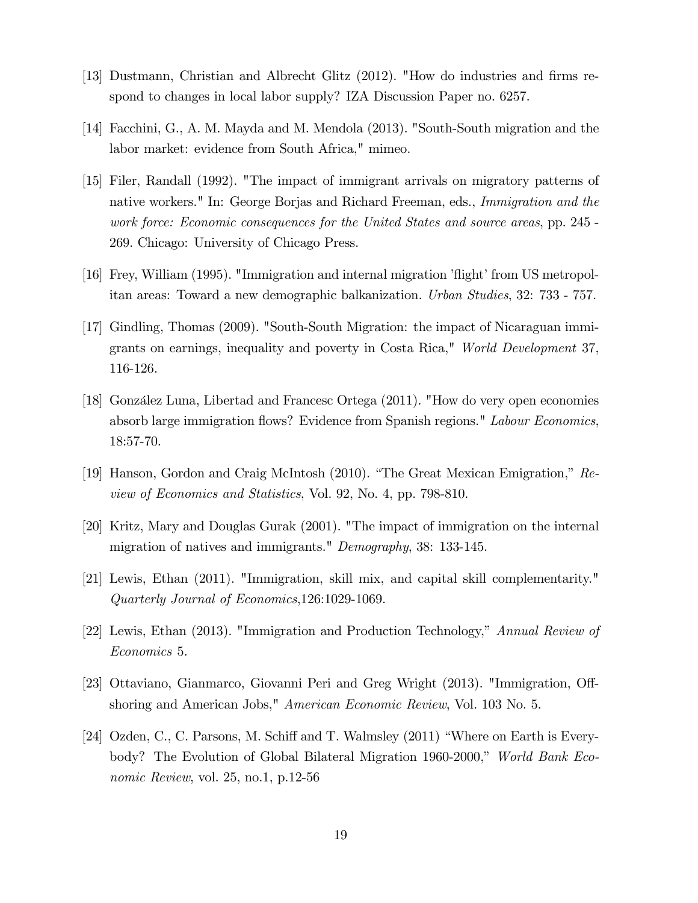- [13] Dustmann, Christian and Albrecht Glitz (2012). "How do industries and firms respond to changes in local labor supply? IZA Discussion Paper no. 6257.
- [14] Facchini, G., A. M. Mayda and M. Mendola (2013). "South-South migration and the labor market: evidence from South Africa," mimeo.
- [15] Filer, Randall (1992). "The impact of immigrant arrivals on migratory patterns of native workers." In: George Borjas and Richard Freeman, eds., Immigration and the work force: Economic consequences for the United States and source areas, pp. 245 - 269. Chicago: University of Chicago Press.
- $[16]$  Frey, William (1995). "Immigration and internal migration 'flight' from US metropolitan areas: Toward a new demographic balkanization. Urban Studies, 32: 733 - 757.
- [17] Gindling, Thomas (2009). "South-South Migration: the impact of Nicaraguan immigrants on earnings, inequality and poverty in Costa Rica," World Development 37, 116-126.
- [18] González Luna, Libertad and Francesc Ortega (2011). "How do very open economies absorb large immigration flows? Evidence from Spanish regions." Labour Economics, 18:57-70.
- [19] Hanson, Gordon and Craig McIntosh (2010). "The Great Mexican Emigration,"  $Re$ view of Economics and Statistics, Vol. 92, No. 4, pp. 798-810.
- [20] Kritz, Mary and Douglas Gurak (2001). "The impact of immigration on the internal migration of natives and immigrants." *Demography*, 38: 133-145.
- [21] Lewis, Ethan (2011). "Immigration, skill mix, and capital skill complementarity." Quarterly Journal of Economics,126:1029-1069.
- [22] Lewis, Ethan (2013). "Immigration and Production Technology," Annual Review of Economics 5.
- [23] Ottaviano, Gianmarco, Giovanni Peri and Greg Wright (2013). "Immigration, Offshoring and American Jobs," American Economic Review, Vol. 103 No. 5.
- [24] Ozden, C., C. Parsons, M. Schiff and T. Walmsley  $(2011)$  "Where on Earth is Everybody? The Evolution of Global Bilateral Migration 1960-2000," World Bank Economic Review, vol. 25, no.1, p.12-56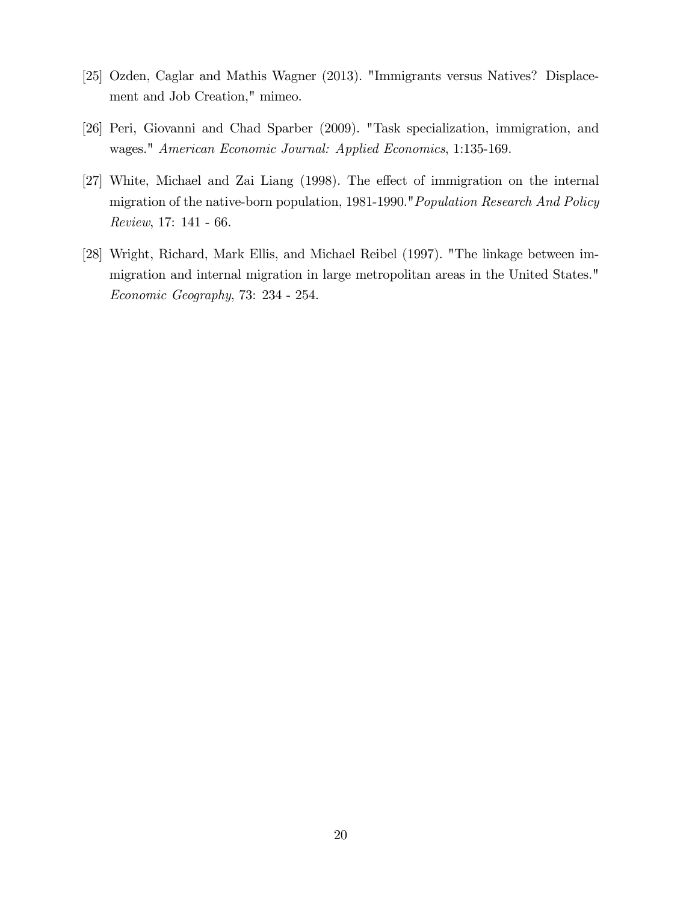- [25] Ozden, Caglar and Mathis Wagner (2013). "Immigrants versus Natives? Displacement and Job Creation," mimeo.
- [26] Peri, Giovanni and Chad Sparber (2009). "Task specialization, immigration, and wages." American Economic Journal: Applied Economics, 1:135-169.
- [27] White, Michael and Zai Liang (1998). The effect of immigration on the internal migration of the native-born population, 1981-1990."Population Research And Policy Review, 17: 141 - 66.
- [28] Wright, Richard, Mark Ellis, and Michael Reibel (1997). "The linkage between immigration and internal migration in large metropolitan areas in the United States." Economic Geography, 73: 234 - 254.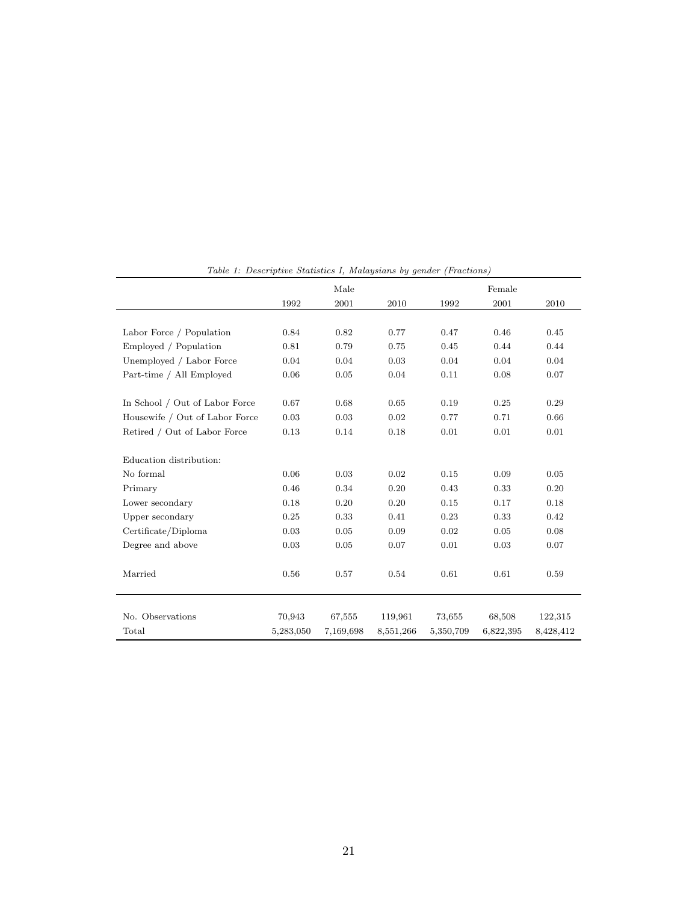|                                |           | Male      |           |           | Female    |           |
|--------------------------------|-----------|-----------|-----------|-----------|-----------|-----------|
|                                | 1992      | 2001      | 2010      | 1992      | 2001      | 2010      |
|                                |           |           |           |           |           |           |
| Labor Force / Population       | 0.84      | 0.82      | 0.77      | 0.47      | 0.46      | 0.45      |
| Employed / Population          | 0.81      | 0.79      | 0.75      | 0.45      | 0.44      | 0.44      |
| Unemployed / Labor Force       | 0.04      | 0.04      | 0.03      | 0.04      | 0.04      | 0.04      |
| Part-time / All Employed       | 0.06      | 0.05      | 0.04      | 0.11      | 0.08      | 0.07      |
|                                |           |           |           |           |           |           |
| In School / Out of Labor Force | 0.67      | 0.68      | 0.65      | 0.19      | 0.25      | 0.29      |
| Housewife / Out of Labor Force | 0.03      | 0.03      | 0.02      | 0.77      | 0.71      | 0.66      |
| Retired / Out of Labor Force   | 0.13      | 0.14      | 0.18      | 0.01      | 0.01      | 0.01      |
|                                |           |           |           |           |           |           |
| Education distribution:        |           |           |           |           |           |           |
| No formal                      | 0.06      | 0.03      | 0.02      | 0.15      | 0.09      | 0.05      |
| Primary                        | 0.46      | 0.34      | 0.20      | 0.43      | 0.33      | 0.20      |
| Lower secondary                | 0.18      | 0.20      | 0.20      | 0.15      | 0.17      | 0.18      |
| Upper secondary                | 0.25      | 0.33      | 0.41      | 0.23      | 0.33      | 0.42      |
| Certificate/Diploma            | 0.03      | 0.05      | 0.09      | 0.02      | 0.05      | 0.08      |
| Degree and above               | 0.03      | 0.05      | 0.07      | 0.01      | 0.03      | 0.07      |
|                                |           |           |           |           |           |           |
| Married                        | 0.56      | 0.57      | 0.54      | 0.61      | 0.61      | 0.59      |
|                                |           |           |           |           |           |           |
|                                |           |           |           |           |           |           |
| No. Observations               | 70,943    | 67,555    | 119,961   | 73,655    | 68,508    | 122,315   |
| Total                          | 5,283,050 | 7,169,698 | 8,551,266 | 5,350,709 | 6,822,395 | 8,428,412 |

Table 1: Descriptive Statistics I, Malaysians by gender (Fractions)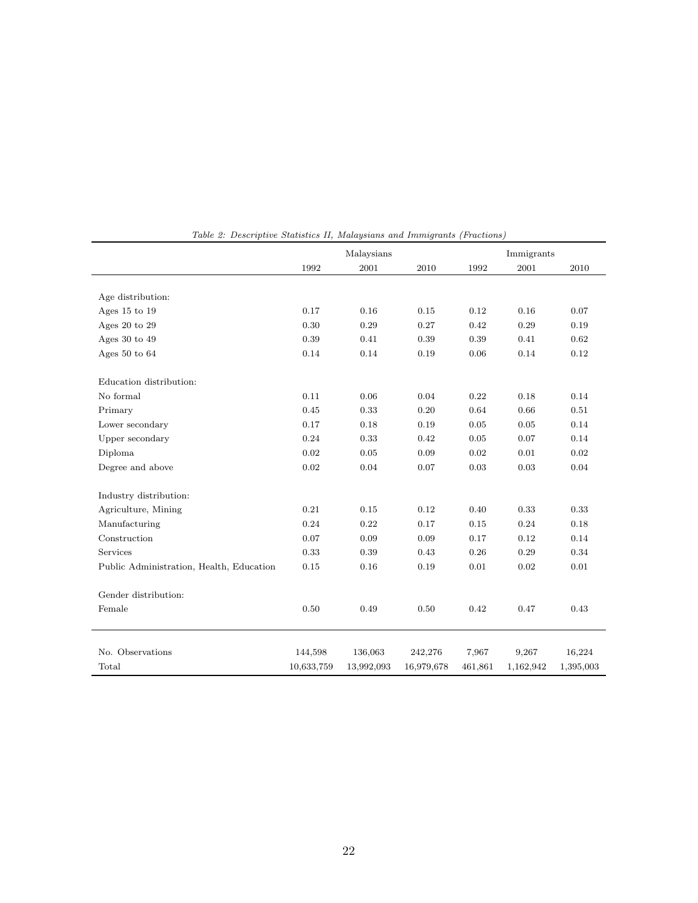|                                          | Malaysians |            |            | Immigrants |           |           |
|------------------------------------------|------------|------------|------------|------------|-----------|-----------|
|                                          | 1992       | $\,2001\,$ | 2010       | 1992       | 2001      | 2010      |
|                                          |            |            |            |            |           |           |
| Age distribution:                        |            |            |            |            |           |           |
| Ages 15 to 19                            | 0.17       | 0.16       | 0.15       | 0.12       | 0.16      | 0.07      |
| Ages 20 to 29                            | 0.30       | 0.29       | 0.27       | 0.42       | 0.29      | 0.19      |
| Ages $30$ to $49$                        | 0.39       | 0.41       | 0.39       | 0.39       | 0.41      | 0.62      |
| Ages 50 to $64$                          | 0.14       | 0.14       | 0.19       | 0.06       | 0.14      | 0.12      |
| Education distribution:                  |            |            |            |            |           |           |
| No formal                                | 0.11       | 0.06       | 0.04       | 0.22       | 0.18      | 0.14      |
| Primary                                  | 0.45       | 0.33       | 0.20       | 0.64       | 0.66      | 0.51      |
| Lower secondary                          | 0.17       | 0.18       | 0.19       | 0.05       | 0.05      | 0.14      |
| Upper secondary                          | 0.24       | 0.33       | 0.42       | 0.05       | 0.07      | 0.14      |
| Diploma                                  | 0.02       | 0.05       | 0.09       | 0.02       | 0.01      | 0.02      |
| Degree and above                         | 0.02       | 0.04       | 0.07       | 0.03       | 0.03      | 0.04      |
| Industry distribution:                   |            |            |            |            |           |           |
| Agriculture, Mining                      | 0.21       | 0.15       | 0.12       | 0.40       | 0.33      | 0.33      |
| Manufacturing                            | 0.24       | 0.22       | 0.17       | 0.15       | 0.24      | 0.18      |
| Construction                             | 0.07       | 0.09       | 0.09       | 0.17       | 0.12      | 0.14      |
| Services                                 | 0.33       | 0.39       | 0.43       | 0.26       | 0.29      | 0.34      |
| Public Administration, Health, Education | 0.15       | 0.16       | 0.19       | 0.01       | 0.02      | 0.01      |
| Gender distribution:                     |            |            |            |            |           |           |
| Female                                   | 0.50       | 0.49       | 0.50       | 0.42       | 0.47      | 0.43      |
|                                          |            |            |            |            |           |           |
| No. Observations                         | 144,598    | 136,063    | 242,276    | 7,967      | 9,267     | 16,224    |
| Total                                    | 10,633,759 | 13,992,093 | 16,979,678 | 461,861    | 1,162,942 | 1,395,003 |

Table 2: Descriptive Statistics II, Malaysians and Immigrants (Fractions)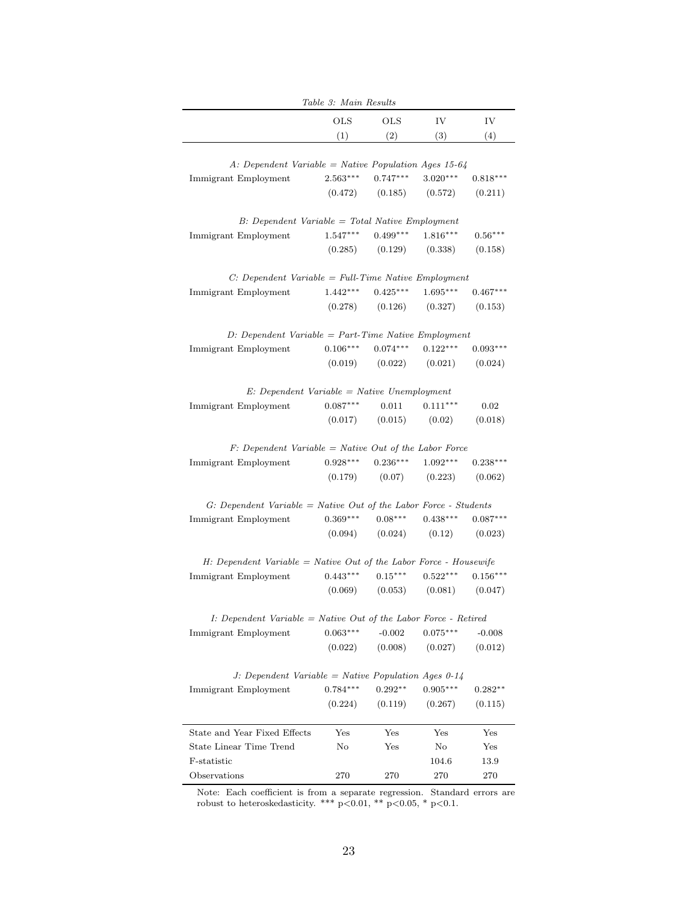|                                                                              | Table 3: Main Results |                      |                       |                       |
|------------------------------------------------------------------------------|-----------------------|----------------------|-----------------------|-----------------------|
|                                                                              | $_{\rm OLS}$          | $_{\rm OLS}$         | IV                    | IV                    |
|                                                                              | (1)                   | (2)                  | (3)                   | (4)                   |
|                                                                              |                       |                      |                       |                       |
| A: Dependent Variable = Native Population Ages 15-64<br>Immigrant Employment | $2.563***$            | $0.747***$           | $3.020***$            | $0.818***$            |
|                                                                              |                       |                      |                       |                       |
|                                                                              |                       | $(0.472)$ $(0.185)$  | (0.572)               | (0.211)               |
| $B$ : Dependent Variable = Total Native Employment                           |                       |                      |                       |                       |
| Immigrant Employment                                                         | $1.547***$            | $0.499***$           | $1.816***$            | $0.56***$             |
|                                                                              | (0.285)               | (0.129)              | (0.338)               | (0.158)               |
| $C: Dependent\ Variable = Full-Time\ Native\ Emplogment$                     |                       |                      |                       |                       |
| Immigrant Employment                                                         | $1.442***$            | $0.425***$           | $1.695***$            | $0.467***$            |
|                                                                              |                       | $(0.278)$ $(0.126)$  | (0.327)               | (0.153)               |
|                                                                              |                       |                      |                       |                       |
| $D: Dependent\ Variable = Part-Time\ Native\ Employment$                     |                       |                      |                       |                       |
| Immigrant Employment                                                         | $0.106***$            | $0.074***$           | $0.122***$            | $0.093***$            |
|                                                                              | (0.019)               | (0.022)              | (0.021)               | (0.024)               |
| $E: Dependent Variable = Native Unemployment$                                |                       |                      |                       |                       |
| Immigrant Employment                                                         | $0.087***$            | 0.011                | $0.111***$            | 0.02                  |
|                                                                              | (0.017)               | (0.015)              | (0.02)                | (0.018)               |
| Immigrant Employment                                                         | $0.928***$<br>(0.179) | $0.236***$<br>(0.07) | $1.092***$<br>(0.223) | $0.238***$<br>(0.062) |
|                                                                              |                       |                      |                       |                       |
| $G: Dependent Variable = Native Out of the Labor Force - Students$           |                       |                      |                       |                       |
| Immigrant Employment                                                         | $0.369***$            | $0.08***$            | $0.438***$            | $0.087***$            |
|                                                                              | (0.094)               | (0.024)              | (0.12)                | (0.023)               |
| $H: Dependent Variable = Native Out of the Labor Force - House wife$         |                       |                      |                       |                       |
| Immigrant Employment                                                         | $0.443***$            | $0.15***$            | $0.522***$            | $0.156***$            |
|                                                                              | (0.069)               | (0.053)              | $(0.081)$ $(0.047)$   |                       |
|                                                                              |                       |                      |                       |                       |
| $I: Dependent Variable = Native Out of the Labor Force - Retrieved$          | $0.063***$            | $-0.002$             | $0.075***$            |                       |
| Immigrant Employment                                                         | (0.022)               | (0.008)              | (0.027)               | $-0.008$<br>(0.012)   |
|                                                                              |                       |                      |                       |                       |
| J. Dependent Variable = Native Population Ages $0-14$                        |                       |                      |                       |                       |
| Immigrant Employment                                                         | $0.784***$            | $0.292**$            | $0.905***$            | $0.282**$             |
|                                                                              | (0.224)               | (0.119)              | (0.267)               | (0.115)               |
| State and Year Fixed Effects                                                 | Yes                   | Yes                  | Yes                   | $_{\rm Yes}$          |
| State Linear Time Trend                                                      | No                    | Yes                  | No                    | Yes                   |
| F-statistic                                                                  |                       |                      | 104.6                 | 13.9                  |
| Observations                                                                 | 270                   | 270                  | 270                   | 270                   |
|                                                                              |                       |                      |                       |                       |

Note: Each coefficient is from a separate regression. Standard errors are robust to heteroskedasticity. \*\*\*  $p<0.01$ , \*\*  $p<0.05$ , \*  $p<0.1$ .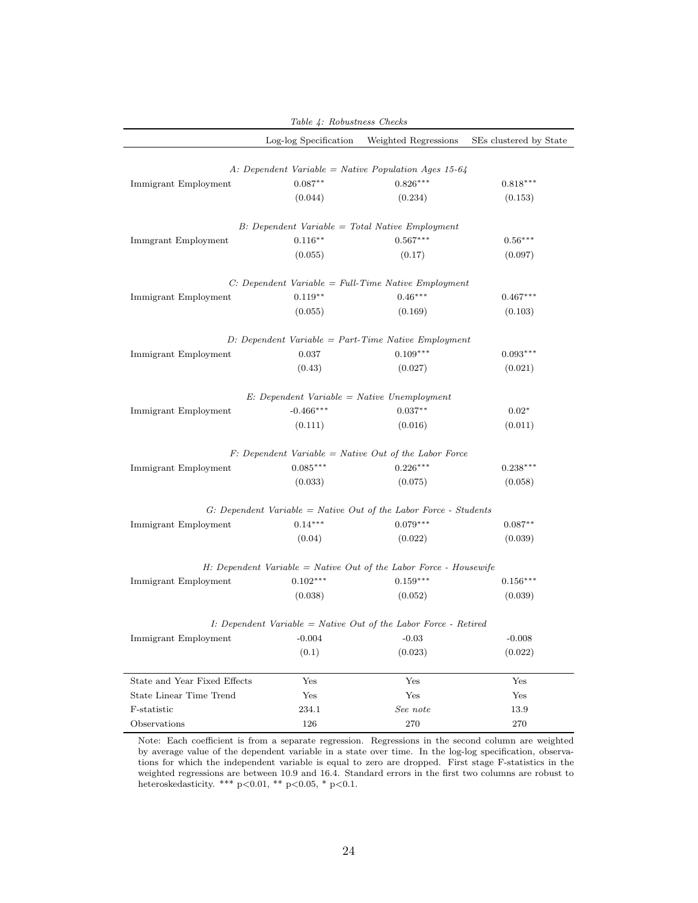| Table 4: Robustness Checks   |                       |                                                                        |                        |  |  |  |
|------------------------------|-----------------------|------------------------------------------------------------------------|------------------------|--|--|--|
|                              | Log-log Specification | Weighted Regressions                                                   | SEs clustered by State |  |  |  |
|                              |                       |                                                                        |                        |  |  |  |
|                              |                       | A: Dependent Variable = Native Population Ages 15-64                   |                        |  |  |  |
| Immigrant Employment         | $0.087**$             | $0.826***$                                                             | $0.818***$             |  |  |  |
|                              | (0.044)               | (0.234)                                                                | (0.153)                |  |  |  |
|                              |                       | $B$ : Dependent Variable = Total Native Employment                     |                        |  |  |  |
| Immgrant Employment          | $0.116***$            | $0.567***$                                                             | $0.56***$              |  |  |  |
|                              | (0.055)               | (0.17)                                                                 | (0.097)                |  |  |  |
|                              |                       | $C: Dependent Variable = Full-Time Native Emplogment$                  |                        |  |  |  |
| Immigrant Employment         | $0.119**$             | $0.46***$                                                              | $0.467***$             |  |  |  |
|                              | (0.055)               | (0.169)                                                                | (0.103)                |  |  |  |
|                              |                       |                                                                        |                        |  |  |  |
|                              |                       | $D: Dependent\ Variable = Part-Time\ Native\ Employment$               |                        |  |  |  |
| Immigrant Employment         | 0.037                 | $0.109***$                                                             | $0.093***$             |  |  |  |
|                              | (0.43)                | (0.027)                                                                | (0.021)                |  |  |  |
|                              |                       | $E: Dependent Variable = Native Unemployment$                          |                        |  |  |  |
| Immigrant Employment         | $-0.466***$           | $0.037**$                                                              | $0.02*$                |  |  |  |
|                              | (0.111)               | (0.016)                                                                | (0.011)                |  |  |  |
|                              |                       |                                                                        |                        |  |  |  |
|                              |                       | $F: Dependent Variable = Native Out of the Labor Force$                |                        |  |  |  |
| Immigrant Employment         | $0.085***$            | $0.226***$                                                             | $0.238***$             |  |  |  |
|                              | (0.033)               | (0.075)                                                                | (0.058)                |  |  |  |
|                              |                       | $G: Dependent Variable = Native Out of the Labor Force - Students$     |                        |  |  |  |
| Immigrant Employment         | $0.14***$             | $0.079***$                                                             | $0.087**$              |  |  |  |
|                              | (0.04)                | (0.022)                                                                | (0.039)                |  |  |  |
|                              |                       | $H: Dependent Variable = Native Out of the Labor Force - House wife$   |                        |  |  |  |
| Immigrant Employment         | $0.102***$            | $0.159***$                                                             | $0.156***$             |  |  |  |
|                              | (0.038)               | (0.052)                                                                | (0.039)                |  |  |  |
|                              |                       |                                                                        |                        |  |  |  |
|                              |                       | <i>I:</i> Dependent Variable = Native Out of the Labor Force - Retired |                        |  |  |  |
| Immigrant Employment         | $-0.004$              | $-0.03$                                                                | $-0.008$               |  |  |  |
|                              | (0.1)                 | (0.023)                                                                | (0.022)                |  |  |  |
| State and Year Fixed Effects | Yes                   | Yes                                                                    | Yes                    |  |  |  |
| State Linear Time Trend      | Yes                   | Yes                                                                    | Yes                    |  |  |  |
| F-statistic                  | 234.1                 | See note                                                               | 13.9                   |  |  |  |
| Observations                 | 126                   | 270                                                                    | 270                    |  |  |  |

Note: Each coefficient is from a separate regression. Regressions in the second column are weighted by average value of the dependent variable in a state over time. In the log-log specification, observations for which the independent variable is equal to zero are dropped. First stage F-statistics in the weighted regressions are between 10.9 and 16.4. Standard errors in the first two columns are robust to heteroskedasticity. \*\*\* p<0.01, \*\* p<0.05, \* p<0.1.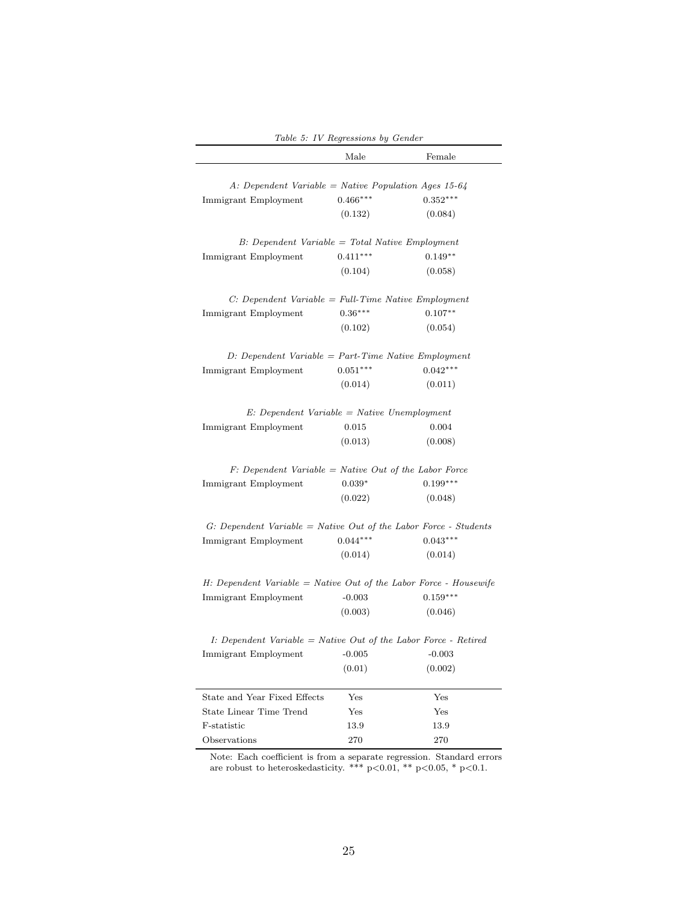|                                                                      | Table 5: IV Regressions by Gender |            |
|----------------------------------------------------------------------|-----------------------------------|------------|
|                                                                      | Male                              | Female     |
| A: Dependent Variable = Native Population Ages 15-64                 |                                   |            |
| Immigrant Employment                                                 | $0.466***$                        | $0.352***$ |
|                                                                      | (0.132)                           | (0.084)    |
| $B$ : Dependent Variable = Total Native Employment                   |                                   |            |
| Immigrant Employment                                                 | $0.411***$                        | $0.149**$  |
|                                                                      | (0.104)                           | (0.058)    |
| $C: Dependent\ Variable = Full-Time\ Native\ Emplogment$             |                                   |            |
| Immigrant Employment                                                 | $0.36***$                         | $0.107**$  |
|                                                                      | (0.102)                           | (0.054)    |
| $D: Dependent\ Variable = Part-Time\ Native\ Emplogment$             |                                   |            |
| Immigrant Employment                                                 | $0.051***$                        | $0.042***$ |
|                                                                      | (0.014)                           | (0.011)    |
| $E: Dependent Variable = Native Unemployment$                        |                                   |            |
| Immigrant Employment                                                 | 0.015                             | 0.004      |
|                                                                      | (0.013)                           | (0.008)    |
| $F: Dependent Variable = Native Out of the Labor Force$              |                                   |            |
| Immigrant Employment                                                 | $0.039*$                          | $0.199***$ |
|                                                                      | (0.022)                           | (0.048)    |
| G: Dependent Variable = Native Out of the Labor Force - Students     |                                   |            |
| Immigrant Employment                                                 | $0.044***$                        | $0.043***$ |
|                                                                      | (0.014)                           | (0.014)    |
| $H: Dependent Variable = Native Out of the Labor Force - House wife$ |                                   |            |
| Immigrant Employment                                                 | $-0.003$                          | $0.159***$ |
|                                                                      | (0.003)                           | (0.046)    |
| I: Dependent Variable = Native Out of the Labor Force - Retired      |                                   |            |
| Immigrant Employment                                                 | $-0.005$                          | $-0.003$   |
|                                                                      | (0.01)                            | (0.002)    |
| State and Year Fixed Effects                                         | Yes                               | Yes        |
| State Linear Time Trend                                              | Yes                               | Yes        |
| F-statistic                                                          | 13.9                              | 13.9       |
| Observations                                                         | 270                               | 270        |

Note: Each coefficient is from a separate regression. Standard errors are robust to heteroskedasticity. \*\*\* p<0.01, \*\* p<0.05, \* p<0.1.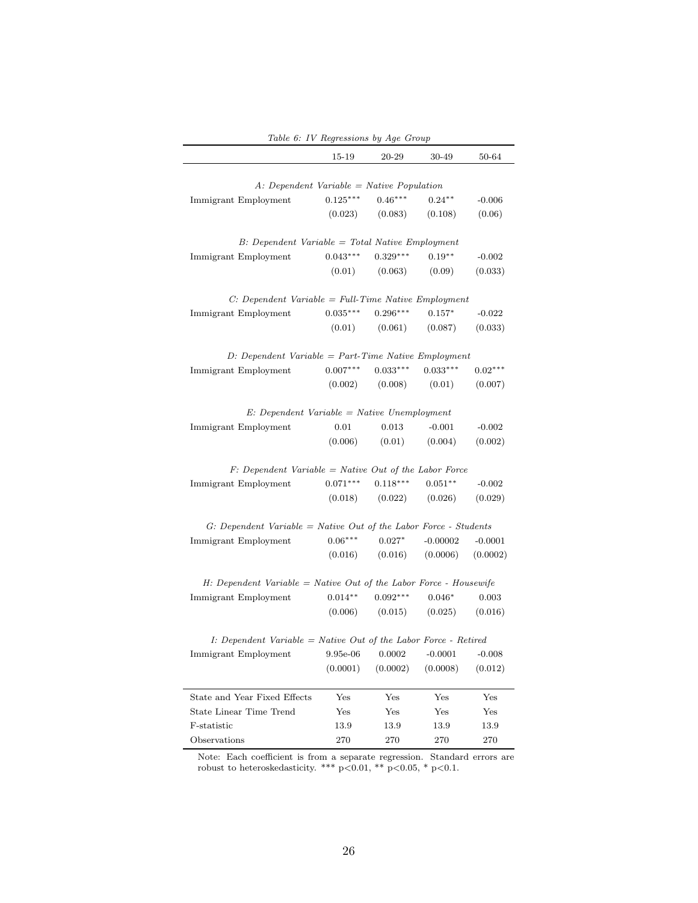|                                                                      | rable b. Iv negressions by hyd Group |            |            |           |
|----------------------------------------------------------------------|--------------------------------------|------------|------------|-----------|
|                                                                      | 15-19                                | 20-29      | 30-49      | 50-64     |
|                                                                      |                                      |            |            |           |
| $A: Dependent\ Variable = Native\ Population$                        |                                      |            |            |           |
| Immigrant Employment                                                 | $0.125***$                           | $0.46***$  | $0.24***$  | $-0.006$  |
|                                                                      | (0.023)                              | (0.083)    | (0.108)    | (0.06)    |
| $B$ : Dependent Variable = Total Native Employment                   |                                      |            |            |           |
| Immigrant Employment                                                 | $0.043***$                           | $0.329***$ | $0.19**$   | $-0.002$  |
|                                                                      | (0.01)                               | (0.063)    | (0.09)     | (0.033)   |
| $C: Dependent\ Variable = Full-Time\ Native\ Emplogment$             |                                      |            |            |           |
| Immigrant Employment                                                 | $0.035***$                           | $0.296***$ | $0.157*$   | $-0.022$  |
|                                                                      | (0.01)                               | (0.061)    | (0.087)    | (0.033)   |
| $D: Dependent\ Variable = Part-Time\ Native\ Employment$             |                                      |            |            |           |
| Immigrant Employment                                                 | $0.007***$                           | $0.033***$ | $0.033***$ | $0.02***$ |
|                                                                      | (0.002)                              | (0.008)    | (0.01)     | (0.007)   |
|                                                                      |                                      |            |            |           |
| $E: Dependent Variable = Native Unemployment$                        |                                      |            |            |           |
| Immigrant Employment                                                 | 0.01                                 | 0.013      | $-0.001$   | $-0.002$  |
|                                                                      | (0.006)                              | (0.01)     | (0.004)    | (0.002)   |
| $F: Dependent Variable = Native Out of the Labor Force$              |                                      |            |            |           |
| Immigrant Employment                                                 | $0.071***$                           | $0.118***$ | $0.051**$  | $-0.002$  |
|                                                                      | (0.018)                              | (0.022)    | (0.026)    | (0.029)   |
| $G: Dependent Variable = Native Out of the Labor Force - Students$   |                                      |            |            |           |
| Immigrant Employment                                                 | $0.06***$                            | $0.027*$   | $-0.00002$ | $-0.0001$ |
|                                                                      | (0.016)                              | (0.016)    | (0.0006)   | (0.0002)  |
| $H: Dependent Variable = Native Out of the Labor Force - House wife$ |                                      |            |            |           |
| Immigrant Employment                                                 | $0.014**$                            | $0.092***$ | $0.046*$   | 0.003     |
|                                                                      | (0.006)                              | (0.015)    | (0.025)    | (0.016)   |
| $I: Dependent Variable = Native Out of the Labor Force - Retrieved$  |                                      |            |            |           |
| Immigrant Employment                                                 | 9.95e-06                             | 0.0002     | $-0.0001$  | $-0.008$  |
|                                                                      | (0.0001)                             | (0.0002)   | (0.0008)   | (0.012)   |
|                                                                      |                                      |            |            |           |
| State and Year Fixed Effects                                         | Yes                                  | Yes        | Yes        | Yes       |
| State Linear Time Trend                                              | Yes                                  | Yes        | Yes        | Yes       |
| F-statistic                                                          | 13.9                                 | 13.9       | 13.9       | 13.9      |
| Observations                                                         | 270                                  | 270        | 270        | 270       |

Table 6: IV Regressions by Age Group

Note: Each coefficient is from a separate regression. Standard errors are robust to heteroskedasticity. \*\*\*  $p<0.01$ , \*\*  $p<0.05$ , \*  $p<0.1$ .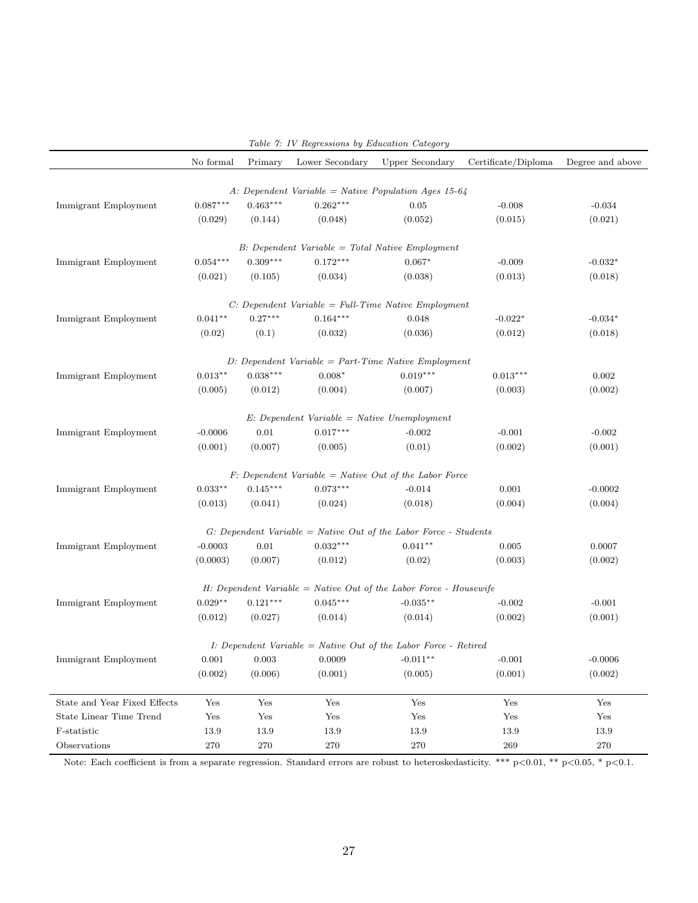|                                | No formal  | Primary    | Table 1. Iv Regressions by Education Category<br>Lower Secondary | Upper Secondary                                                      | Certificate/Diploma | Degree and above     |
|--------------------------------|------------|------------|------------------------------------------------------------------|----------------------------------------------------------------------|---------------------|----------------------|
|                                |            |            |                                                                  |                                                                      |                     |                      |
|                                |            |            |                                                                  | A: Dependent Variable = Native Population Ages 15-64                 |                     |                      |
| Immigrant Employment           | $0.087***$ | $0.463***$ | $0.262***$                                                       | 0.05                                                                 | $-0.008$            | $-0.034$             |
|                                | (0.029)    | (0.144)    | (0.048)                                                          | (0.052)                                                              | (0.015)             | (0.021)              |
|                                |            |            |                                                                  | $B$ : Dependent Variable = Total Native Employment                   |                     |                      |
| Immigrant Employment           | $0.054***$ | $0.309***$ | $0.172***$                                                       | $0.067*$                                                             | $-0.009$            | $-0.032*$            |
|                                | (0.021)    | (0.105)    | (0.034)                                                          | (0.038)                                                              | (0.013)             | (0.018)              |
|                                |            |            |                                                                  | $C: Dependent\ Variable = Full-Time\ Native\ Employment$             |                     |                      |
| Immigrant Employment           | $0.041**$  | $0.27***$  | $0.164***$                                                       | 0.048                                                                | $-0.022*$           | $-0.034*$            |
|                                | (0.02)     | (0.1)      | (0.032)                                                          | (0.036)                                                              | (0.012)             | (0.018)              |
|                                |            |            |                                                                  | $D: Dependent\ Variable = Part-Time\ Native\ Employment$             |                     |                      |
| Immigrant Employment           | $0.013***$ | $0.038***$ | $0.008*$                                                         | $0.019***$                                                           | $0.013***$          | 0.002                |
|                                | (0.005)    | (0.012)    | (0.004)                                                          | (0.007)                                                              | (0.003)             | (0.002)              |
|                                |            |            |                                                                  |                                                                      |                     |                      |
|                                |            |            | $E: Dependent Variable = Native Un employment$                   |                                                                      |                     |                      |
| Immigrant Employment           | $-0.0006$  | $0.01\,$   | $0.017***$                                                       | $-0.002$                                                             | $-0.001$            | $-0.002$             |
|                                | (0.001)    | (0.007)    | (0.005)                                                          | (0.01)                                                               | (0.002)             | (0.001)              |
|                                |            |            |                                                                  | $F: Dependent\ Variable = Native\ Out\ of\ the\ Labor\ Force$        |                     |                      |
| Immigrant Employment           | $0.033**$  | $0.145***$ | $0.073***$                                                       | $-0.014$                                                             | 0.001               | $-0.0002$            |
|                                | (0.013)    | (0.041)    | (0.024)                                                          | (0.018)                                                              | (0.004)             | (0.004)              |
|                                |            |            |                                                                  | $G: Dependent Variable = Native Out of the Labor Force - Students$   |                     |                      |
| Immigrant Employment           | $-0.0003$  | $0.01\,$   | $0.032***$                                                       | $0.041**$                                                            | 0.005               | 0.0007               |
|                                | (0.0003)   | (0.007)    | (0.012)                                                          | (0.02)                                                               | (0.003)             | (0.002)              |
|                                |            |            |                                                                  |                                                                      |                     |                      |
|                                |            |            |                                                                  | $H: Dependent Variable = Native Out of the Labor Force - House wife$ |                     |                      |
| Immigrant Employment           | $0.029**$  | $0.121***$ | $0.045***$                                                       | $-0.035**$                                                           | $-0.002$            | $-0.001$             |
|                                | (0.012)    | (0.027)    | (0.014)                                                          | (0.014)                                                              | (0.002)             | (0.001)              |
|                                |            |            |                                                                  | I: Dependent Variable = Native Out of the Labor Force - Retired      |                     |                      |
| Immigrant Employment           | 0.001      | 0.003      | 0.0009                                                           | $-0.011**$                                                           | $-0.001$            | $-0.0006$            |
|                                | (0.002)    | (0.006)    | (0.001)                                                          | (0.005)                                                              | (0.001)             | (0.002)              |
| State and Year Fixed Effects   | Yes        | Yes        | Yes                                                              | Yes                                                                  | Yes                 | $\operatorname{Yes}$ |
| <b>State Linear Time Trend</b> | Yes        | Yes        | Yes                                                              | Yes                                                                  | Yes                 | Yes                  |
| F-statistic                    | 13.9       | 13.9       | 13.9                                                             | 13.9                                                                 | 13.9                | 13.9                 |
| Observations                   | 270        | 270        | 270                                                              | 270                                                                  | 269                 | 270                  |

Table 7: IV Regressions by Education Category

Note: Each coefficient is from a separate regression. Standard errors are robust to heteroskedasticity. \*\*\* p<0.01, \*\* p<0.05, \* p<0.1.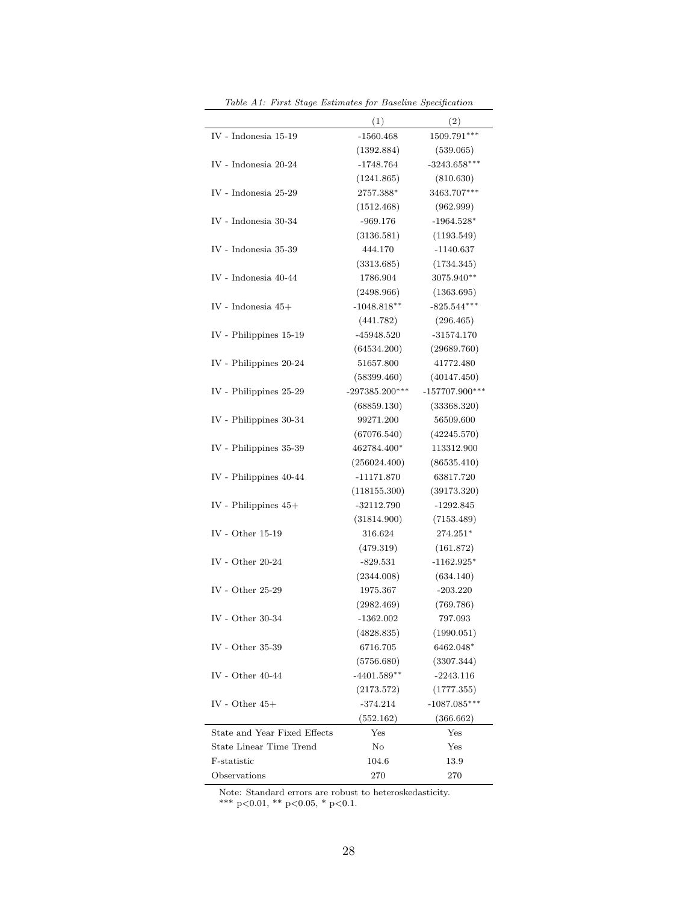|                              | (1)                      | (2)                          |
|------------------------------|--------------------------|------------------------------|
| IV - Indonesia 15-19         | $-1560.468$              | 1509.791***                  |
|                              | (1392.884)               | (539.065)                    |
| IV - Indonesia 20-24         | $-1748.764$              | $-3243.658***$               |
|                              | (1241.865)               | (810.630)                    |
| IV - Indonesia 25-29         | 2757.388*                | 3463.707***                  |
|                              | (1512.468)               | (962.999)                    |
| IV - Indonesia 30-34         | $-969.176$               | $-1964.528*$                 |
|                              | (3136.581)               | (1193.549)                   |
| IV - Indonesia 35-39         | 444.170                  | $-1140.637$                  |
|                              | (3313.685)               | (1734.345)                   |
| IV - Indonesia 40-44         | 1786.904                 | 3075.940**                   |
|                              | (2498.966)               | (1363.695)                   |
| IV - Indonesia $45+$         | $-1048.818**$            | $-825.544***$                |
|                              | (441.782)                | (296.465)                    |
| IV - Philippines 15-19       | $-45948.520$             | $-31574.170$                 |
|                              | (64534.200)              | (29689.760)                  |
| IV - Philippines 20-24       | 51657.800                | 41772.480                    |
|                              | (58399.460)              | (40147.450)                  |
| IV - Philippines 25-29       | $-297385.200***$         | $-157707.900***$             |
|                              | (68859.130)              | (33368.320)                  |
| IV - Philippines 30-34       | 99271.200                | 56509.600                    |
|                              | (67076.540)              | (42245.570)                  |
| IV - Philippines 35-39       | 462784.400*              | 113312.900                   |
|                              | (256024.400)             | (86535.410)                  |
| IV - Philippines 40-44       | $-11171.870$             | 63817.720                    |
|                              | (118155.300)             | (39173.320)                  |
| IV - Philippines $45+$       | $-32112.790$             | $-1292.845$                  |
|                              | (31814.900)              | (7153.489)                   |
| IV - Other $15-19$           | 316.624                  | 274.251*                     |
|                              | (479.319)                | (161.872)                    |
| IV - Other $20-24$           | $-829.531$               | $-1162.925*$                 |
|                              | (2344.008)               | (634.140)                    |
| IV - Other $25-29$           | 1975.367                 | $-203.220$                   |
|                              | (2982.469)               | (769.786)                    |
| IV - Other $30-34$           | $-1362.002$              | 797.093                      |
|                              | (4828.835)<br>6716.705   | (1990.051)                   |
| IV - Other $35-39$           |                          | 6462.048*                    |
| IV - Other $40-44$           | (5756.680)               | (3307.344)                   |
|                              | $-4401.589**$            | $-2243.116$                  |
| IV - Other $45+$             | (2173.572)<br>$-374.214$ | (1777.355)<br>$-1087.085***$ |
|                              | (552.162)                | (366.662)                    |
| State and Year Fixed Effects | $_{\rm Yes}$             | Yes                          |
| State Linear Time Trend      | No                       | Yes                          |
| F-statistic                  |                          |                              |
|                              | 104.6                    | 13.9                         |
| Observations                 | 270                      | 270                          |

Table A1: First Stage Estimates for Baseline Specification

Note: Standard errors are robust to heteroskedasticity. \*\*\* p<0.01, \*\* p<0.05, \* p<0.1.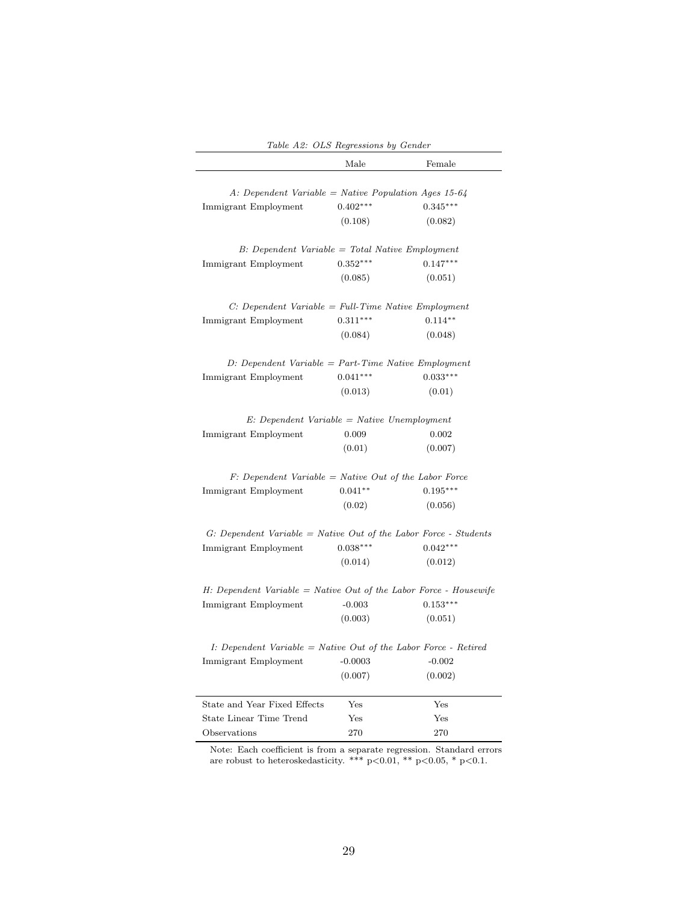|                                                                      | Male       | Female     |
|----------------------------------------------------------------------|------------|------------|
| A: Dependent Variable = Native Population Ages 15-64                 |            |            |
| Immigrant Employment                                                 | $0.402***$ | $0.345***$ |
|                                                                      | (0.108)    | (0.082)    |
| B: Dependent Variable = Total Native Employment                      |            |            |
| Immigrant Employment                                                 | $0.352***$ | $0.147***$ |
|                                                                      | (0.085)    | (0.051)    |
| $C: Dependent Variable = Full-Time Native Emplogment$                |            |            |
| Immigrant Employment                                                 | $0.311***$ | $0.114**$  |
|                                                                      | (0.084)    | (0.048)    |
| $D: Dependent\ Variable = Part-Time\ Native\ Employment$             |            |            |
| Immigrant Employment                                                 | $0.041***$ | $0.033***$ |
|                                                                      | (0.013)    | (0.01)     |
| $E: Dependent Variable = Native Unemployment$                        |            |            |
| Immigrant Employment                                                 | 0.009      | 0.002      |
|                                                                      | (0.01)     | (0.007)    |
| $F: Dependent Variable = Native Out of the Labor Force$              |            |            |
| Immigrant Employment                                                 | $0.041**$  | $0.195***$ |
|                                                                      | (0.02)     | (0.056)    |
| $G: Dependent Variable = Native Out of the Labor Force - Students$   |            |            |
| Immigrant Employment                                                 | $0.038***$ | $0.042***$ |
|                                                                      | (0.014)    | (0.012)    |
| $H: Dependent Variable = Native Out of the Labor Force - House wife$ |            |            |
| Immigrant Employment                                                 | $-0.003$   | $0.153***$ |
|                                                                      | (0.003)    | (0.051)    |
| $I: Dependent Variable = Native Out of the Labor Force - Retrieved$  |            |            |
| Immigrant Employment                                                 | $-0.0003$  | $-0.002$   |
|                                                                      | (0.007)    | (0.002)    |
| State and Year Fixed Effects                                         | Yes        | Yes        |
| State Linear Time Trend                                              | Yes        | Yes        |
| Observations                                                         | 270        | 270        |

Table A2: OLS Regressions by Gender

Note: Each coefficient is from a separate regression. Standard errors are robust to heteroskedasticity. \*\*\* p<0.01, \*\* p<0.05, \* p<0.1.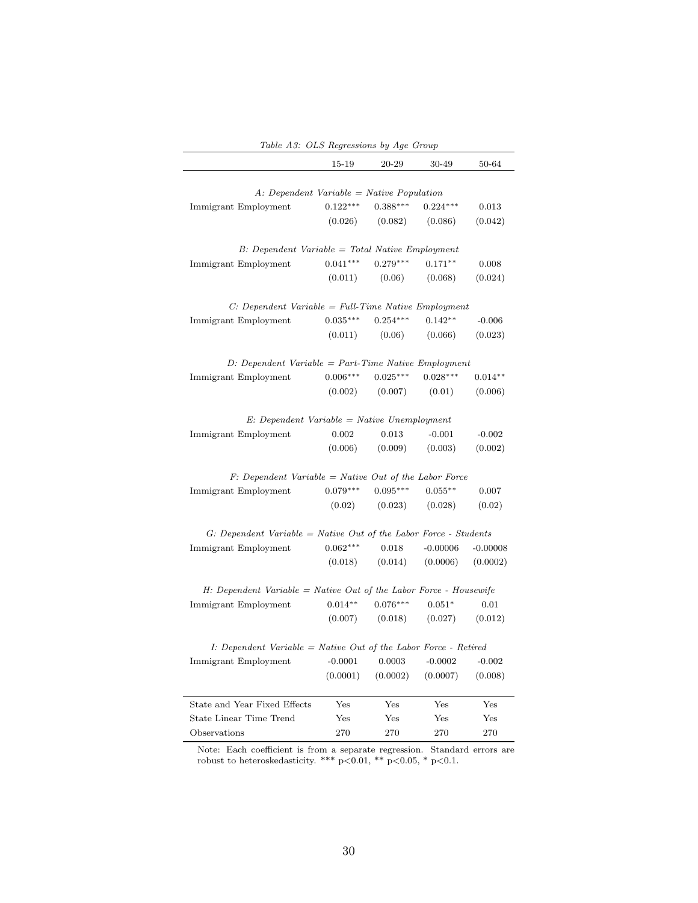|                                                                      | 15-19        | 20-29      | 30-49      | 50-64        |
|----------------------------------------------------------------------|--------------|------------|------------|--------------|
| $A: Dependent Variable = Native Population$                          |              |            |            |              |
| Immigrant Employment                                                 | $0.122***$   | $0.388***$ | $0.224***$ | 0.013        |
|                                                                      | (0.026)      | (0.082)    | (0.086)    | (0.042)      |
| $B$ : Dependent Variable = Total Native Employment                   |              |            |            |              |
| Immigrant Employment                                                 | $0.041***$   | $0.279***$ | $0.171**$  | 0.008        |
|                                                                      | (0.011)      | (0.06)     | (0.068)    | (0.024)      |
| $C: Dependent\ Variable = Full-Time\ Native\ Emplogment$             |              |            |            |              |
| Immigrant Employment                                                 | $0.035***$   | $0.254***$ | $0.142**$  | $-0.006$     |
|                                                                      | (0.011)      | (0.06)     | (0.066)    | (0.023)      |
| $D: Dependent\ Variable = Part-Time\ Native\ Employment$             |              |            |            |              |
| Immigrant Employment                                                 | $0.006***$   | $0.025***$ | $0.028***$ | $0.014**$    |
|                                                                      | (0.002)      | (0.007)    | (0.01)     | (0.006)      |
| $E: Dependent Variable = Native Unemployment$                        |              |            |            |              |
| Immigrant Employment                                                 | 0.002        | 0.013      | $-0.001$   | $-0.002$     |
|                                                                      | (0.006)      | (0.009)    | (0.003)    | (0.002)      |
| $F: Dependent Variable = Native Out of the Labor Force$              |              |            |            |              |
| Immigrant Employment                                                 | $0.079***$   | $0.095***$ | $0.055***$ | 0.007        |
|                                                                      | (0.02)       | (0.023)    | (0.028)    | (0.02)       |
| $G: Dependent Variable = Native Out of the Labor Force - Students$   |              |            |            |              |
| Immigrant Employment                                                 | $0.062***$   | 0.018      | $-0.00006$ | $-0.00008$   |
|                                                                      | (0.018)      | (0.014)    | (0.0006)   | (0.0002)     |
| $H: Dependent Variable = Native Out of the Labor Force - House wife$ |              |            |            |              |
| Immigrant Employment                                                 | $0.014**$    | $0.076***$ | $0.051*$   | 0.01         |
|                                                                      | (0.007)      | (0.018)    | (0.027)    | (0.012)      |
| I: Dependent Variable = Native Out of the Labor Force - Retired      |              |            |            |              |
| Immigrant Employment                                                 | $-0.0001$    | 0.0003     | $-0.0002$  | $-0.002$     |
|                                                                      | (0.0001)     | (0.0002)   | (0.0007)   | (0.008)      |
| State and Year Fixed Effects                                         | $_{\rm Yes}$ | Yes        | Yes        | Yes          |
| State Linear Time Trend                                              | Yes          | Yes        | Yes        | $_{\rm Yes}$ |
| Observations                                                         | 270          | 270        | 270        | 270          |

Table A3: OLS Regressions by Age Group

Note: Each coefficient is from a separate regression. Standard errors are robust to heteroskedasticity. \*\*\*  $p<0.01$ , \*\*  $p<0.05$ , \*  $p<0.1$ .